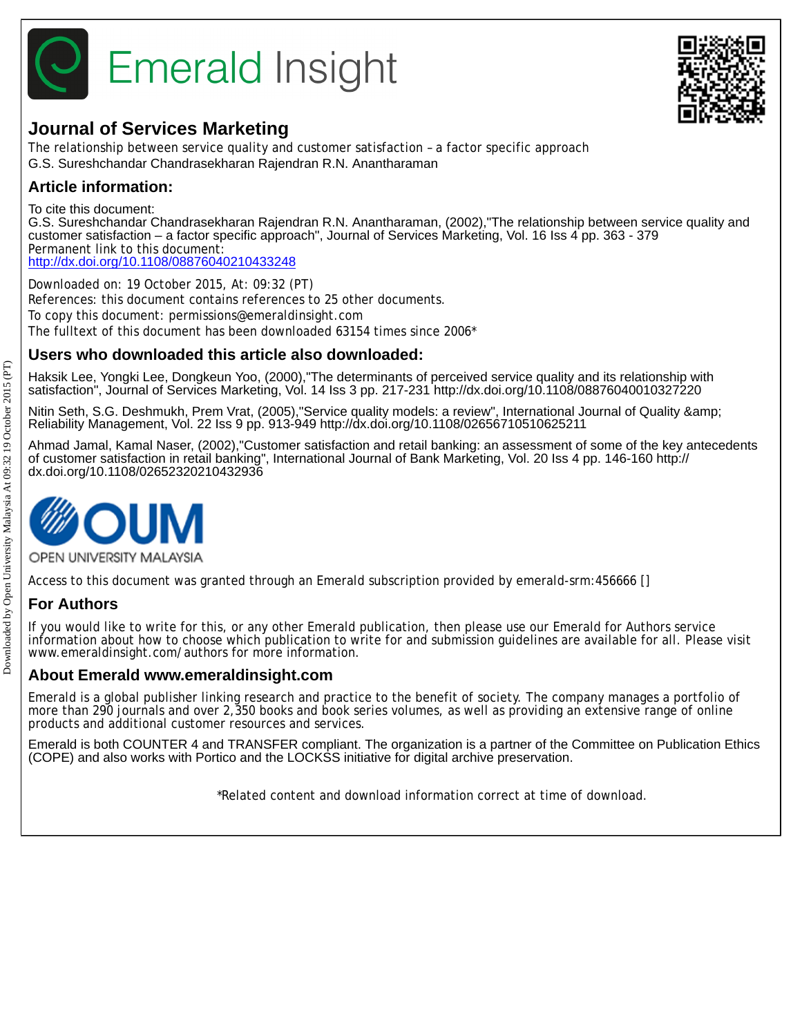



# **Journal of Services Marketing**

The relationship between service quality and customer satisfaction – a factor specific approach G.S. Sureshchandar Chandrasekharan Rajendran R.N. Anantharaman

# **Article information:**

To cite this document:

G.S. Sureshchandar Chandrasekharan Rajendran R.N. Anantharaman, (2002),"The relationship between service quality and customer satisfaction – a factor specific approach", Journal of Services Marketing, Vol. 16 Iss 4 pp. 363 - 379 Permanent link to this document: <http://dx.doi.org/10.1108/08876040210433248>

Downloaded on: 19 October 2015, At: 09:32 (PT) References: this document contains references to 25 other documents. To copy this document: permissions@emeraldinsight.com The fulltext of this document has been downloaded 63154 times since 2006\*

# **Users who downloaded this article also downloaded:**

Haksik Lee, Yongki Lee, Dongkeun Yoo, (2000),"The determinants of perceived service quality and its relationship with satisfaction", Journal of Services Marketing, Vol. 14 Iss 3 pp. 217-231 http://dx.doi.org/10.1108/08876040010327220

Nitin Seth, S.G. Deshmukh, Prem Vrat, (2005),"Service quality models: a review", International Journal of Quality & Reliability Management, Vol. 22 Iss 9 pp. 913-949 http://dx.doi.org/10.1108/02656710510625211

Ahmad Jamal, Kamal Naser, (2002),"Customer satisfaction and retail banking: an assessment of some of the key antecedents of customer satisfaction in retail banking", International Journal of Bank Marketing, Vol. 20 Iss 4 pp. 146-160 http:// dx.doi.org/10.1108/02652320210432936



OPEN UNIVERSITY MALAYSIA

Access to this document was granted through an Emerald subscription provided by emerald-srm:456666 []

# **For Authors**

If you would like to write for this, or any other Emerald publication, then please use our Emerald for Authors service information about how to choose which publication to write for and submission guidelines are available for all. Please visit www.emeraldinsight.com/authors for more information.

# **About Emerald www.emeraldinsight.com**

Emerald is a global publisher linking research and practice to the benefit of society. The company manages a portfolio of more than 290 journals and over 2,350 books and book series volumes, as well as providing an extensive range of online products and additional customer resources and services.

Emerald is both COUNTER 4 and TRANSFER compliant. The organization is a partner of the Committee on Publication Ethics (COPE) and also works with Portico and the LOCKSS initiative for digital archive preservation.

\*Related content and download information correct at time of download.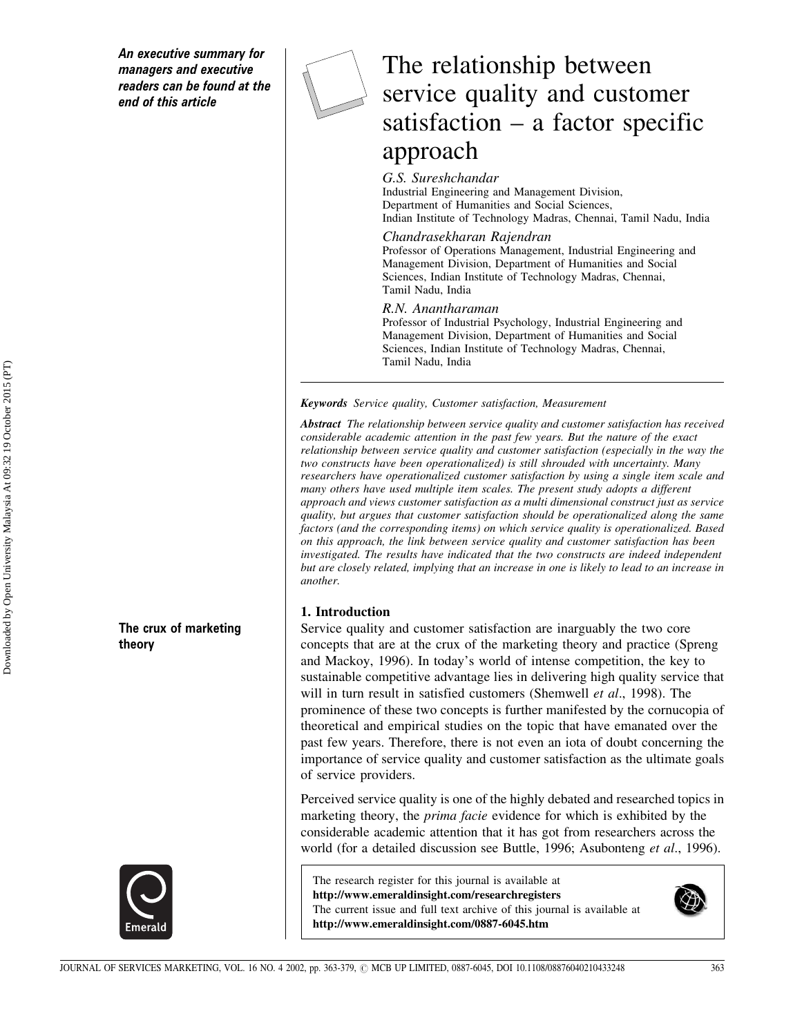An executive summary for managers and executive readers can be found at the end of this article

The crux of marketing

theory



# The relationship between service quality and customer satisfaction  $-$  a factor specific approach

#### G.S. Sureshchandar

Industrial Engineering and Management Division, Department of Humanities and Social Sciences, Indian Institute of Technology Madras, Chennai, Tamil Nadu, India

#### Chandrasekharan Rajendran

Professor of Operations Management, Industrial Engineering and Management Division, Department of Humanities and Social Sciences, Indian Institute of Technology Madras, Chennai, Tamil Nadu, India

#### R.N. Anantharaman

Professor of Industrial Psychology, Industrial Engineering and Management Division, Department of Humanities and Social Sciences, Indian Institute of Technology Madras, Chennai, Tamil Nadu, India

**Keywords** Service quality, Customer satisfaction, Measurement

Abstract The relationship between service quality and customer satisfaction has received considerable academic attention in the past few years. But the nature of the exact relationship between service quality and customer satisfaction (especially in the way the two constructs have been operationalized) is still shrouded with uncertainty. Many researchers have operationalized customer satisfaction by using a single item scale and many others have used multiple item scales. The present study adopts a different approach and views customer satisfaction as a multi dimensional construct just as service quality, but argues that customer satisfaction should be operationalized along the same factors (and the corresponding items) on which service quality is operationalized. Based on this approach, the link between service quality and customer satisfaction has been investigated. The results have indicated that the two constructs are indeed independent but are closely related, implying that an increase in one is likely to lead to an increase in another.

#### 1. Introduction

Service quality and customer satisfaction are inarguably the two core concepts that are at the crux of the marketing theory and practice (Spreng) and Mackoy, 1996). In today's world of intense competition, the key to sustainable competitive advantage lies in delivering high quality service that will in turn result in satisfied customers (Shemwell et al., 1998). The prominence of these two concepts is further manifested by the cornucopia of theoretical and empirical studies on the topic that have emanated over the past few years. Therefore, there is not even an iota of doubt concerning the importance of service quality and customer satisfaction as the ultimate goals of service providers.

Perceived service quality is one of the highly debated and researched topics in marketing theory, the *prima facie* evidence for which is exhibited by the considerable academic attention that it has got from researchers across the world (for a detailed discussion see Buttle, 1996; Asubonteng et al., 1996).

The research register for this journal is available at http://www.emeraldinsight.com/researchregisters The current issue and full text archive of this journal is available at http://www.emeraldinsight.com/0887-6045.htm

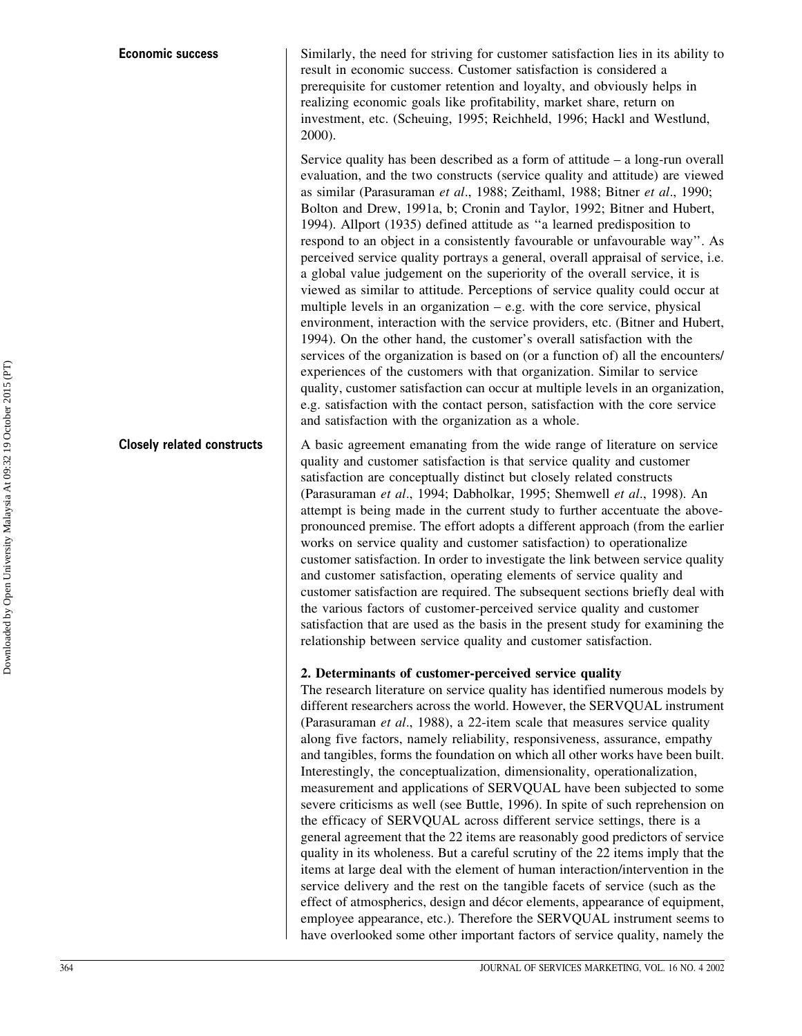Similarly, the need for striving for customer satisfaction lies in its ability to result in economic success. Customer satisfaction is considered a prerequisite for customer retention and loyalty, and obviously helps in realizing economic goals like profitability, market share, return on investment, etc. (Scheuing, 1995; Reichheld, 1996; Hackl and Westlund,  $2000$ ).

Service quality has been described as a form of attitude  $-$  a long-run overall evaluation, and the two constructs (service quality and attitude) are viewed as similar (Parasuraman et al., 1988; Zeithaml, 1988; Bitner et al., 1990; Bolton and Drew, 1991a, b; Cronin and Taylor, 1992; Bitner and Hubert, 1994). Allport (1935) defined attitude as "a learned predisposition to respond to an object in a consistently favourable or unfavourable way". As perceived service quality portrays a general, overall appraisal of service, i.e. a global value judgement on the superiority of the overall service, it is viewed as similar to attitude. Perceptions of service quality could occur at multiple levels in an organization  $-$  e.g. with the core service, physical environment, interaction with the service providers, etc. (Bitner and Hubert, 1994). On the other hand, the customer's overall satisfaction with the services of the organization is based on (or a function of) all the encounters/ experiences of the customers with that organization. Similar to service quality, customer satisfaction can occur at multiple levels in an organization, e.g. satisfaction with the contact person, satisfaction with the core service and satisfaction with the organization as a whole.

**Closelv related constructs** A basic agreement emanating from the wide range of literature on service quality and customer satisfaction is that service quality and customer satisfaction are conceptually distinct but closely related constructs (Parasuraman et al., 1994; Dabholkar, 1995; Shemwell et al., 1998). An attempt is being made in the current study to further accentuate the abovepronounced premise. The effort adopts a different approach (from the earlier works on service quality and customer satisfaction) to operationalize customer satisfaction. In order to investigate the link between service quality and customer satisfaction, operating elements of service quality and customer satisfaction are required. The subsequent sections briefly deal with the various factors of customer-perceived service quality and customer satisfaction that are used as the basis in the present study for examining the relationship between service quality and customer satisfaction.

#### 2. Determinants of customer-perceived service quality

The research literature on service quality has identified numerous models by different researchers across the world. However, the SERVQUAL instrument (Parasuraman et al., 1988), a 22-item scale that measures service quality along five factors, namely reliability, responsiveness, assurance, empathy and tangibles, forms the foundation on which all other works have been built. Interestingly, the conceptualization, dimensionality, operationalization, measurement and applications of SERVOUAL have been subjected to some severe criticisms as well (see Buttle, 1996). In spite of such reprehension on the efficacy of SERVQUAL across different service settings, there is a general agreement that the 22 items are reasonably good predictors of service quality in its wholeness. But a careful scrutiny of the 22 items imply that the items at large deal with the element of human interaction/intervention in the service delivery and the rest on the tangible facets of service (such as the effect of atmospherics, design and décor elements, appearance of equipment, employee appearance, etc.). Therefore the SERVQUAL instrument seems to have overlooked some other important factors of service quality, namely the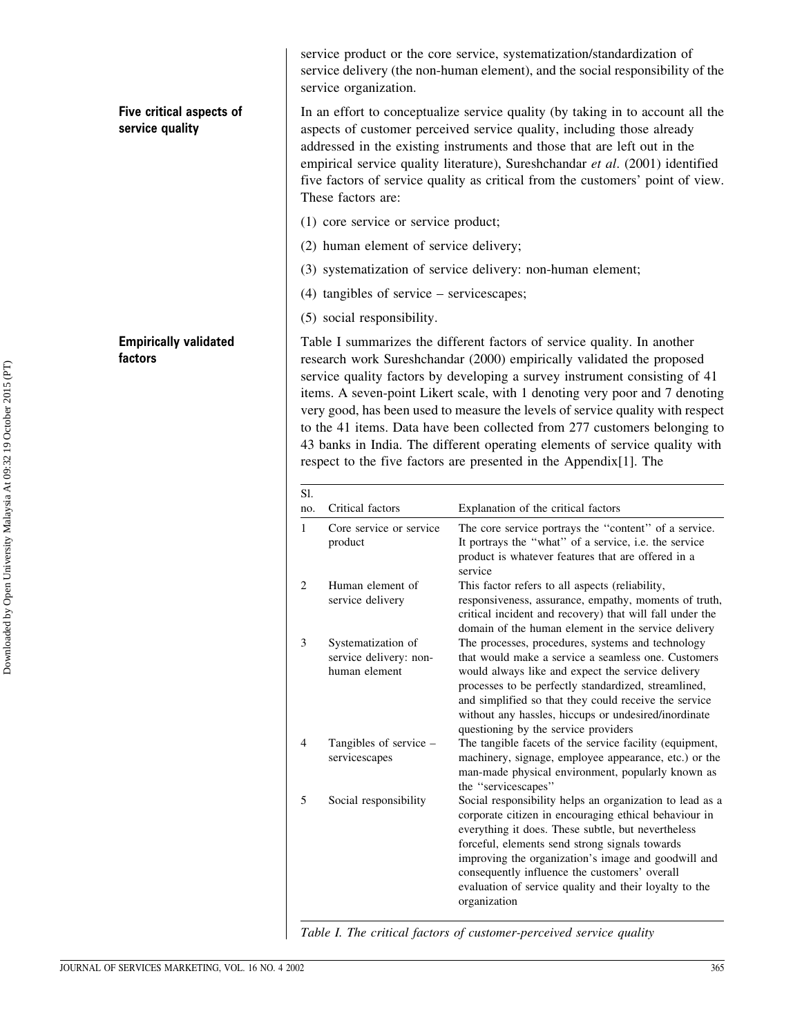## Five critical aspects of service quality

**Empirically validated** factors

service product or the core service, systematization/standardization of service delivery (the non-human element), and the social responsibility of the service organization.

In an effort to conceptualize service quality (by taking in to account all the aspects of customer perceived service quality, including those already addressed in the existing instruments and those that are left out in the empirical service quality literature), Sureshchandar et al. (2001) identified five factors of service quality as critical from the customers' point of view. These factors are:

- (1) core service or service product;
- (2) human element of service delivery;
- (3) systematization of service delivery: non-human element;
- $(4)$  tangibles of service servicescapes;
- (5) social responsibility.

Table I summarizes the different factors of service quality. In another research work Sureshchandar (2000) empirically validated the proposed service quality factors by developing a survey instrument consisting of 41 items. A seven-point Likert scale, with 1 denoting very poor and 7 denoting very good, has been used to measure the levels of service quality with respect to the 41 items. Data have been collected from 277 customers belonging to 43 banks in India. The different operating elements of service quality with respect to the five factors are presented in the Appendix [1]. The

| Sl. |                                                               |                                                                                                                                                                                                                                                                                                                                                                                                             |
|-----|---------------------------------------------------------------|-------------------------------------------------------------------------------------------------------------------------------------------------------------------------------------------------------------------------------------------------------------------------------------------------------------------------------------------------------------------------------------------------------------|
| no. | Critical factors                                              | Explanation of the critical factors                                                                                                                                                                                                                                                                                                                                                                         |
| 1   | Core service or service<br>product                            | The core service portrays the "content" of a service.<br>It portrays the "what" of a service, i.e. the service<br>product is whatever features that are offered in a<br>service                                                                                                                                                                                                                             |
| 2   | Human element of<br>service delivery                          | This factor refers to all aspects (reliability,<br>responsiveness, assurance, empathy, moments of truth,<br>critical incident and recovery) that will fall under the<br>domain of the human element in the service delivery                                                                                                                                                                                 |
| 3   | Systematization of<br>service delivery: non-<br>human element | The processes, procedures, systems and technology<br>that would make a service a seamless one. Customers<br>would always like and expect the service delivery<br>processes to be perfectly standardized, streamlined,<br>and simplified so that they could receive the service<br>without any hassles, hiccups or undesired/inordinate<br>questioning by the service providers                              |
| 4   | Tangibles of service –<br>servicescapes                       | The tangible facets of the service facility (equipment,<br>machinery, signage, employee appearance, etc.) or the<br>man-made physical environment, popularly known as<br>the "servicescapes"                                                                                                                                                                                                                |
| 5   | Social responsibility                                         | Social responsibility helps an organization to lead as a<br>corporate citizen in encouraging ethical behaviour in<br>everything it does. These subtle, but nevertheless<br>forceful, elements send strong signals towards<br>improving the organization's image and goodwill and<br>consequently influence the customers' overall<br>evaluation of service quality and their loyalty to the<br>organization |

Table I. The critical factors of customer-perceived service quality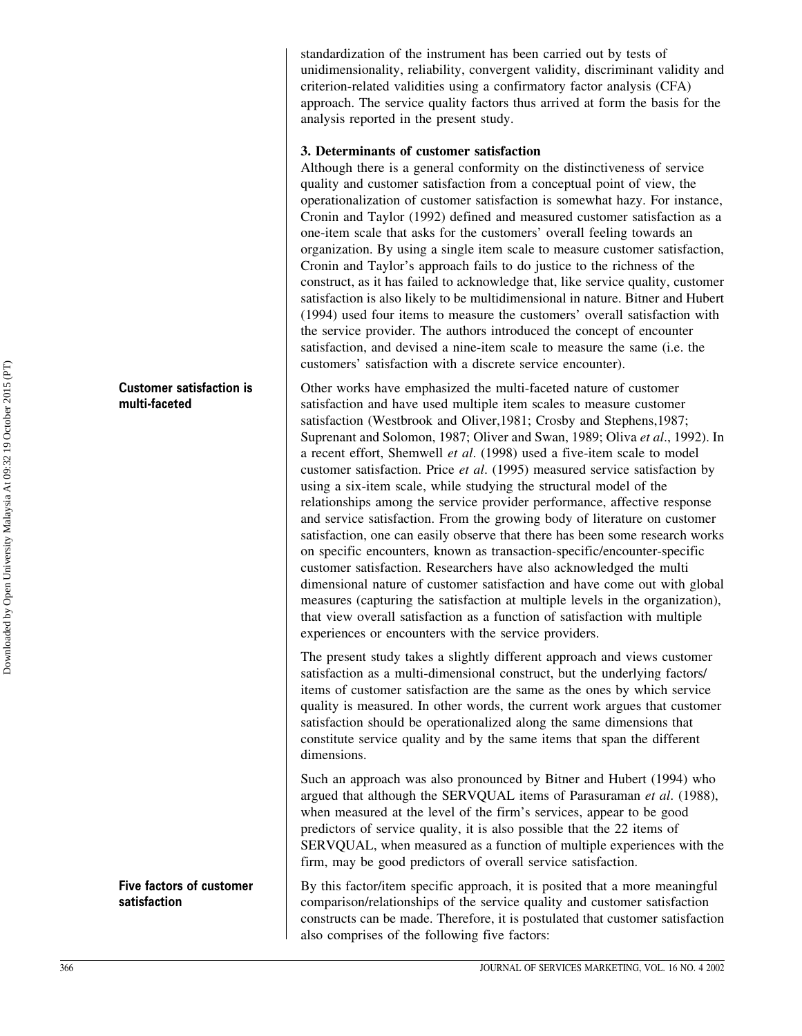standardization of the instrument has been carried out by tests of unidimensionality, reliability, convergent validity, discriminant validity and criterion-related validities using a confirmatory factor analysis (CFA) approach. The service quality factors thus arrived at form the basis for the analysis reported in the present study.

## 3. Determinants of customer satisfaction

Although there is a general conformity on the distinctiveness of service quality and customer satisfaction from a conceptual point of view, the operationalization of customer satisfaction is somewhat hazy. For instance, Cronin and Taylor (1992) defined and measured customer satisfaction as a one-item scale that asks for the customers' overall feeling towards an organization. By using a single item scale to measure customer satisfaction, Cronin and Taylor's approach fails to do justice to the richness of the construct, as it has failed to acknowledge that, like service quality, customer satisfaction is also likely to be multidimensional in nature. Bitner and Hubert (1994) used four items to measure the customers' overall satisfaction with the service provider. The authors introduced the concept of encounter satisfaction, and devised a nine-item scale to measure the same (i.e. the customers' satisfaction with a discrete service encounter).

Other works have emphasized the multi-faceted nature of customer satisfaction and have used multiple item scales to measure customer satisfaction (Westbrook and Oliver, 1981; Crosby and Stephens, 1987; Suprenant and Solomon, 1987; Oliver and Swan, 1989; Oliva et al., 1992). In a recent effort, Shemwell et al. (1998) used a five-item scale to model customer satisfaction. Price et al. (1995) measured service satisfaction by using a six-item scale, while studying the structural model of the relationships among the service provider performance, affective response and service satisfaction. From the growing body of literature on customer satisfaction, one can easily observe that there has been some research works on specific encounters, known as transaction-specific/encounter-specific customer satisfaction. Researchers have also acknowledged the multi dimensional nature of customer satisfaction and have come out with global measures (capturing the satisfaction at multiple levels in the organization), that view overall satisfaction as a function of satisfaction with multiple experiences or encounters with the service providers.

The present study takes a slightly different approach and views customer satisfaction as a multi-dimensional construct, but the underlying factors/ items of customer satisfaction are the same as the ones by which service quality is measured. In other words, the current work argues that customer satisfaction should be operationalized along the same dimensions that constitute service quality and by the same items that span the different dimensions.

Such an approach was also pronounced by Bitner and Hubert (1994) who argued that although the SERVOUAL items of Parasuraman et al. (1988), when measured at the level of the firm's services, appear to be good predictors of service quality, it is also possible that the 22 items of SERVOUAL, when measured as a function of multiple experiences with the firm, may be good predictors of overall service satisfaction.

By this factor/item specific approach, it is posited that a more meaningful comparison/relationships of the service quality and customer satisfaction constructs can be made. Therefore, it is postulated that customer satisfaction also comprises of the following five factors:

**Customer satisfaction is** multi-faceted

Five factors of customer satisfaction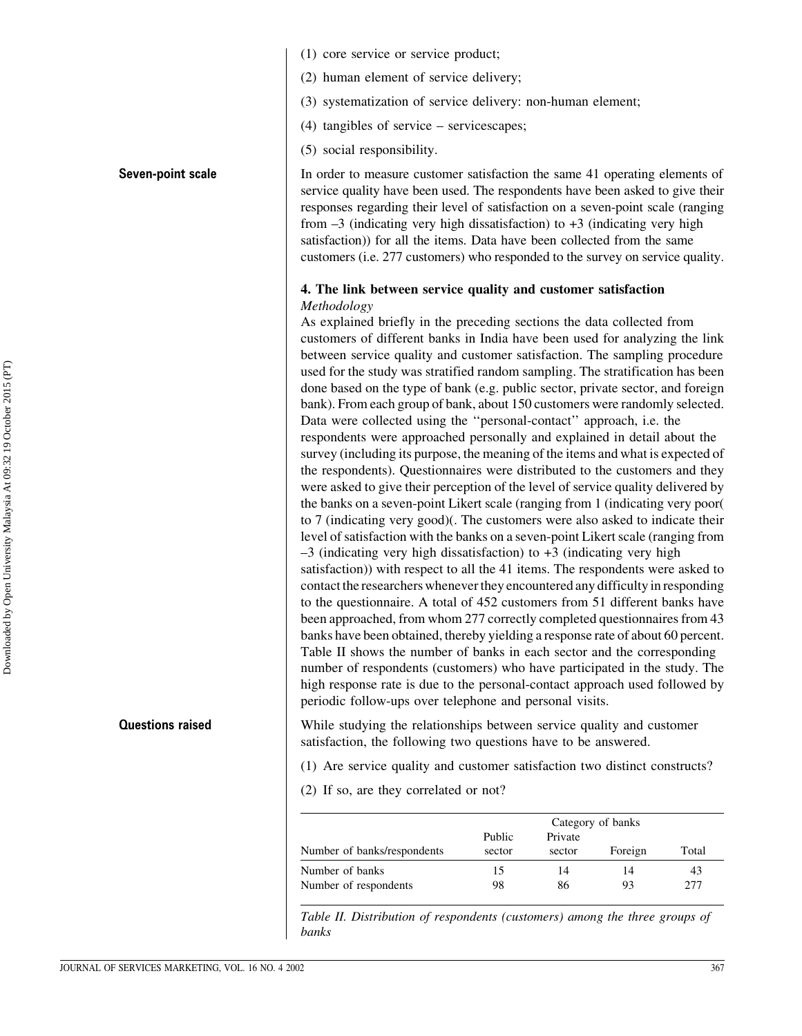- (1) core service or service product;
- (2) human element of service delivery;
- (3) systematization of service delivery: non-human element:
- $(4)$  tangibles of service servicescapes;
- (5) social responsibility.

In order to measure customer satisfaction the same 41 operating elements of service quality have been used. The respondents have been asked to give their responses regarding their level of satisfaction on a seven-point scale (ranging from  $-3$  (indicating very high dissatisfaction) to  $+3$  (indicating very high satisfaction)) for all the items. Data have been collected from the same customers (i.e. 277 customers) who responded to the survey on service quality.

## 4. The link between service quality and customer satisfaction Methodology

As explained briefly in the preceding sections the data collected from customers of different banks in India have been used for analyzing the link between service quality and customer satisfaction. The sampling procedure used for the study was stratified random sampling. The stratification has been done based on the type of bank (e.g. public sector, private sector, and foreign bank). From each group of bank, about 150 customers were randomly selected. Data were collected using the "personal-contact" approach, i.e. the respondents were approached personally and explained in detail about the survey (including its purpose, the meaning of the items and what is expected of the respondents). Questionnaires were distributed to the customers and they were asked to give their perception of the level of service quality delivered by the banks on a seven-point Likert scale (ranging from 1 (indicating very poor) to 7 (indicating very good). The customers were also asked to indicate their level of satisfaction with the banks on a seven-point Likert scale (ranging from  $-3$  (indicating very high dissatisfaction) to  $+3$  (indicating very high satisfaction) with respect to all the 41 items. The respondents were asked to contact the researchers whenever they encountered any difficulty in responding to the questionnaire. A total of 452 customers from 51 different banks have been approached, from whom 277 correctly completed questionnaires from 43 banks have been obtained, thereby yielding a response rate of about 60 percent. Table II shows the number of banks in each sector and the corresponding number of respondents (customers) who have participated in the study. The high response rate is due to the personal-contact approach used followed by periodic follow-ups over telephone and personal visits.

While studying the relationships between service quality and customer satisfaction, the following two questions have to be answered.

(1) Are service quality and customer satisfaction two distinct constructs?

(2) If so, are they correlated or not?

|                             | Category of banks |         |         |       |  |  |  |
|-----------------------------|-------------------|---------|---------|-------|--|--|--|
|                             | Public            | Private |         |       |  |  |  |
| Number of banks/respondents | sector            | sector  | Foreign | Total |  |  |  |
| Number of banks             | 15                | 14      | 14      | 43    |  |  |  |
| Number of respondents       | 98                | 86      | 93      | 277   |  |  |  |

Table II. Distribution of respondents (customers) among the three groups of banks

#### Seven-point scale

**Questions raised**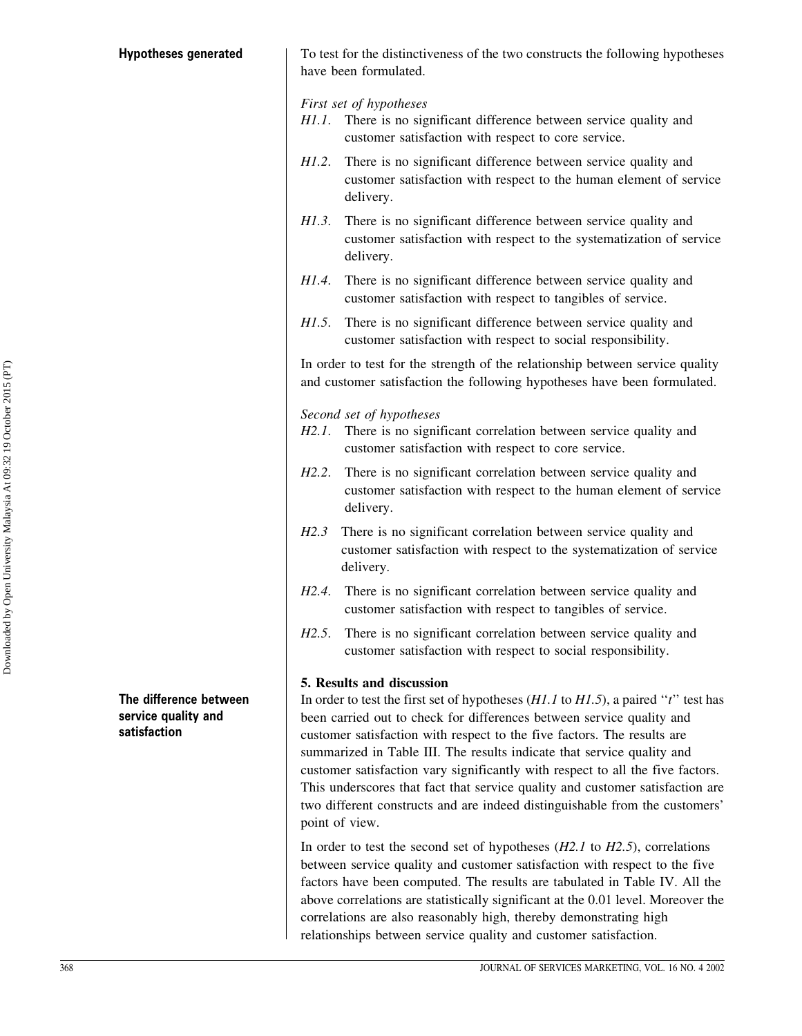#### **Hypotheses generated**

To test for the distinctiveness of the two constructs the following hypotheses have been formulated.

First set of hypotheses

- There is no significant difference between service quality and  $H1.1.$ customer satisfaction with respect to core service.
- There is no significant difference between service quality and  $H1.2.$ customer satisfaction with respect to the human element of service delivery.
- There is no significant difference between service quality and  $H1.3.$ customer satisfaction with respect to the systematization of service delivery.
- H1.4. There is no significant difference between service quality and customer satisfaction with respect to tangibles of service.
- H1.5. There is no significant difference between service quality and customer satisfaction with respect to social responsibility.

In order to test for the strength of the relationship between service quality and customer satisfaction the following hypotheses have been formulated.

Second set of hypotheses

- H2.1. There is no significant correlation between service quality and customer satisfaction with respect to core service.
- H2.2. There is no significant correlation between service quality and customer satisfaction with respect to the human element of service delivery.
- There is no significant correlation between service quality and  $H2.3$ customer satisfaction with respect to the systematization of service delivery.
- H2.4. There is no significant correlation between service quality and customer satisfaction with respect to tangibles of service.
- $H2.5.$ There is no significant correlation between service quality and customer satisfaction with respect to social responsibility.

#### 5. Results and discussion

In order to test the first set of hypotheses  $(H1.1$  to  $H1.5)$ , a paired "t" test has been carried out to check for differences between service quality and customer satisfaction with respect to the five factors. The results are summarized in Table III. The results indicate that service quality and customer satisfaction vary significantly with respect to all the five factors. This underscores that fact that service quality and customer satisfaction are two different constructs and are indeed distinguishable from the customers' point of view.

In order to test the second set of hypotheses  $(H2.1$  to  $H2.5)$ , correlations between service quality and customer satisfaction with respect to the five factors have been computed. The results are tabulated in Table IV. All the above correlations are statistically significant at the 0.01 level. Moreover the correlations are also reasonably high, thereby demonstrating high relationships between service quality and customer satisfaction.

The difference between service quality and satisfaction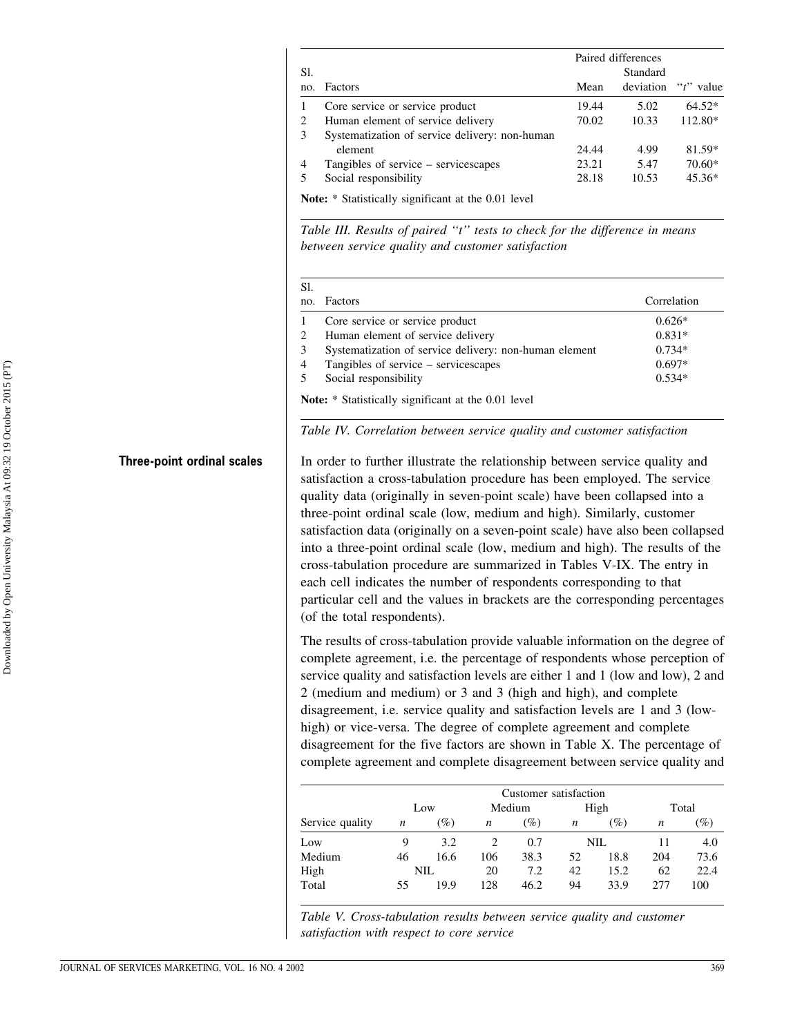|     |                                                            | Paired differences |           |               |  |  |  |  |  |
|-----|------------------------------------------------------------|--------------------|-----------|---------------|--|--|--|--|--|
| Sl. |                                                            |                    | Standard  |               |  |  |  |  |  |
| no. | Factors                                                    | Mean               | deviation | " $t$ " value |  |  |  |  |  |
|     | Core service or service product                            | 19.44              | 5.02      | $64.52*$      |  |  |  |  |  |
| 2   | Human element of service delivery                          | 70.02              | 10.33     | 112.80*       |  |  |  |  |  |
| 3   | Systematization of service delivery: non-human             |                    |           |               |  |  |  |  |  |
|     | element                                                    | 24.44              | 4.99      | 81.59*        |  |  |  |  |  |
| 4   | Tangibles of service – servicescapes                       | 23.21              | 5.47      | $70.60*$      |  |  |  |  |  |
|     | Social responsibility                                      | 28.18              | 10.53     | $45.36*$      |  |  |  |  |  |
|     | <b>Note:</b> * Statistically significant at the 0.01 level |                    |           |               |  |  |  |  |  |

Table III. Results of paired "t" tests to check for the difference in means between service quality and customer satisfaction

| no. | Factors                                                | Correlation |
|-----|--------------------------------------------------------|-------------|
|     | Core service or service product                        | $0.626*$    |
|     | Human element of service delivery                      | $0.831*$    |
|     | Systematization of service delivery: non-human element | $0.734*$    |
| 4   | Tangibles of service - servicescapes                   | $0.697*$    |
|     | Social responsibility                                  | $0.534*$    |

#### Table IV. Correlation between service quality and customer satisfaction

In order to further illustrate the relationship between service quality and satisfaction a cross-tabulation procedure has been employed. The service quality data (originally in seven-point scale) have been collapsed into a three-point ordinal scale (low, medium and high). Similarly, customer satisfaction data (originally on a seven-point scale) have also been collapsed into a three-point ordinal scale (low, medium and high). The results of the cross-tabulation procedure are summarized in Tables V-IX. The entry in each cell indicates the number of respondents corresponding to that particular cell and the values in brackets are the corresponding percentages (of the total respondents).

The results of cross-tabulation provide valuable information on the degree of complete agreement, i.e. the percentage of respondents whose perception of service quality and satisfaction levels are either 1 and 1 (low and low), 2 and 2 (medium and medium) or 3 and 3 (high and high), and complete disagreement, i.e. service quality and satisfaction levels are 1 and 3 (lowhigh) or vice-versa. The degree of complete agreement and complete disagreement for the five factors are shown in Table X. The percentage of complete agreement and complete disagreement between service quality and

|                 | Customer satisfaction |                 |                  |        |                  |        |                  |                 |
|-----------------|-----------------------|-----------------|------------------|--------|------------------|--------|------------------|-----------------|
|                 | Low                   |                 | Medium           |        | High             |        | Total            |                 |
| Service quality | n                     | $\mathscr{G}_o$ | $\boldsymbol{n}$ | $(\%)$ | $\boldsymbol{n}$ | $(\%)$ | $\boldsymbol{n}$ | $\mathscr{G}_o$ |
| Low             | 9                     | 3.2             |                  | 0.7    |                  | NIL    | 11               | 4.0             |
| Medium          | 46                    | 16.6            | 106              | 38.3   | 52               | 18.8   | 204              | 73.6            |
| High            |                       | NIL             | 20               | 7.2    | 42               | 15.2   | 62               | 22.4            |
| Total           | 55                    | 19.9            | 128              | 46.2   | 94               | 33.9   | 2.77             | 100             |

Table V. Cross-tabulation results between service quality and customer satisfaction with respect to core service

**Three-point ordinal scales**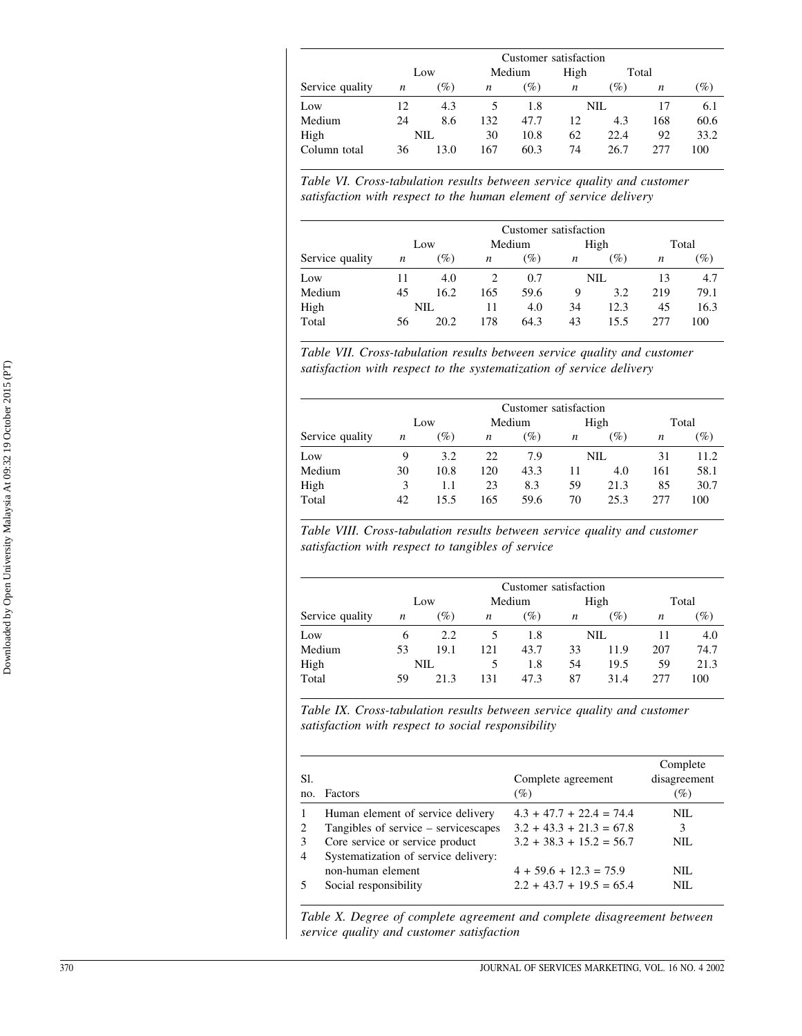|                 |                  |        |     |        | Customer satisfaction |      |                  |                 |
|-----------------|------------------|--------|-----|--------|-----------------------|------|------------------|-----------------|
|                 |                  | Low    |     | Medium | High                  |      | Total            |                 |
| Service quality | $\boldsymbol{n}$ | $(\%)$ | n   | (%)    | $\boldsymbol{n}$      | (%)  | $\boldsymbol{n}$ | $\mathscr{G}_o$ |
| Low             | 12               | 4.3    |     | 1.8    |                       | NIL  | 17               | 6.1             |
| Medium          | 24               | 8.6    | 132 | 47.7   | 12                    | 4.3  | 168              | 60.6            |
| High            |                  | NIL    | 30  | 10.8   | 62                    | 22.4 | 92               | 33.2            |
| Column total    | 36               | 13.0   | 167 | 60.3   | 74                    | 26.7 | 277              | 100             |

Table VI. Cross-tabulation results between service quality and customer satisfaction with respect to the human element of service delivery

|                 |     |      |                  | Customer satisfaction |                  |      |       |        |
|-----------------|-----|------|------------------|-----------------------|------------------|------|-------|--------|
|                 | Low |      | Medium           |                       | High             |      | Total |        |
| Service quality | n   | (%)  | $\boldsymbol{n}$ | (%)                   | $\boldsymbol{n}$ | (%)  | n     | $(\%)$ |
| Low             | 11  | 4.0  | 2                | 0.7                   | NIL              |      | 13    | 4.7    |
| Medium          | 45  | 16.2 | 165              | 59.6                  | 9                | 3.2  | 219   | 79.1   |
| High            |     | NIL  | 11               | 4.0                   | 34               | 12.3 | 45    | 16.3   |
| Total           | 56  | 20.2 | 178              | 64.3                  | 43               | 15.5 | 2.77  | 100    |

Table VII. Cross-tabulation results between service quality and customer satisfaction with respect to the systematization of service delivery

| Customer satisfaction |    |        |                  |      |      |      |       |                 |
|-----------------------|----|--------|------------------|------|------|------|-------|-----------------|
|                       |    | Low    | Medium           |      | High |      | Total |                 |
| Service quality       | n  | $(\%)$ | $\boldsymbol{n}$ | (%)  | n    | (%)  | n     | $\mathscr{G}_o$ |
| Low                   | 9  | 3.2    | 22               | 7.9  |      | NIL  | 31    | 11.2            |
| Medium                | 30 | 10.8   | 120              | 43.3 | 11   | 4.0  | 161   | 58.1            |
| High                  | 3  | 1.1    | 23               | 8.3  | 59   | 21.3 | 85    | 30.7            |
| Total                 | 42 | 15.5   | 165              | 59.6 | 70   | 25.3 | 277   | 100             |

Table VIII. Cross-tabulation results between service quality and customer satisfaction with respect to tangibles of service

|                 |                  |        |                  | Customer satisfaction |                  |        |                  |        |
|-----------------|------------------|--------|------------------|-----------------------|------------------|--------|------------------|--------|
|                 | Low              |        | Medium           |                       | High             |        | Total            |        |
| Service quality | $\boldsymbol{n}$ | $(\%)$ | $\boldsymbol{n}$ | $(\%)$                | $\boldsymbol{n}$ | $(\%)$ | $\boldsymbol{n}$ | $(\%)$ |
| Low             | 6                | 2.2    |                  | 1.8                   |                  | NIL.   | 11               | 4.0    |
| Medium          | 53               | 19.1   | 121              | 43.7                  | 33               | 11.9   | 207              | 74.7   |
| High            |                  | NIL    | 5                | 1.8                   | 54               | 19.5   | 59               | 21.3   |
| Total           | 59               | 213    | 131              | 47.3                  | 87               | 31.4   | 277              | 100    |

Table IX. Cross-tabulation results between service quality and customer satisfaction with respect to social responsibility

| SI.<br>no. | Factors                              | Complete agreement<br>$(\%)$ | Complete<br>disagreement<br>$(\%)$ |
|------------|--------------------------------------|------------------------------|------------------------------------|
|            | Human element of service delivery    | $4.3 + 47.7 + 22.4 = 74.4$   | NIL.                               |
|            | Tangibles of service – servicescapes | $3.2 + 43.3 + 21.3 = 67.8$   | 3                                  |
|            | Core service or service product      | $3.2 + 38.3 + 15.2 = 56.7$   | NIL.                               |
| 4          | Systematization of service delivery: |                              |                                    |
|            | non-human element                    | $4 + 59.6 + 12.3 = 75.9$     | NIL.                               |
|            | Social responsibility                | $2.2 + 43.7 + 19.5 = 65.4$   | NIL.                               |

Table X. Degree of complete agreement and complete disagreement between service quality and customer satisfaction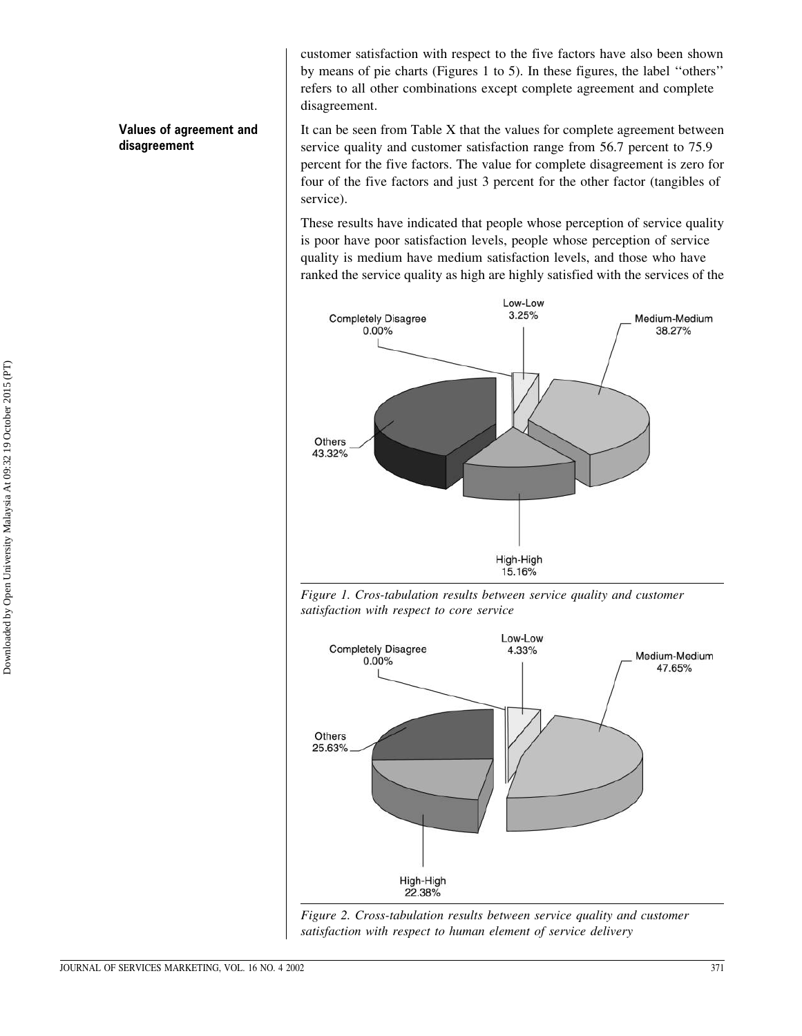customer satisfaction with respect to the five factors have also been shown by means of pie charts (Figures 1 to 5). In these figures, the label "others" refers to all other combinations except complete agreement and complete disagreement.

It can be seen from Table X that the values for complete agreement between service quality and customer satisfaction range from 56.7 percent to 75.9 percent for the five factors. The value for complete disagreement is zero for four of the five factors and just 3 percent for the other factor (tangibles of service).

These results have indicated that people whose perception of service quality is poor have poor satisfaction levels, people whose perception of service quality is medium have medium satisfaction levels, and those who have ranked the service quality as high are highly satisfied with the services of the







Figure 2. Cross-tabulation results between service quality and customer satisfaction with respect to human element of service delivery

#### Values of agreement and disagreement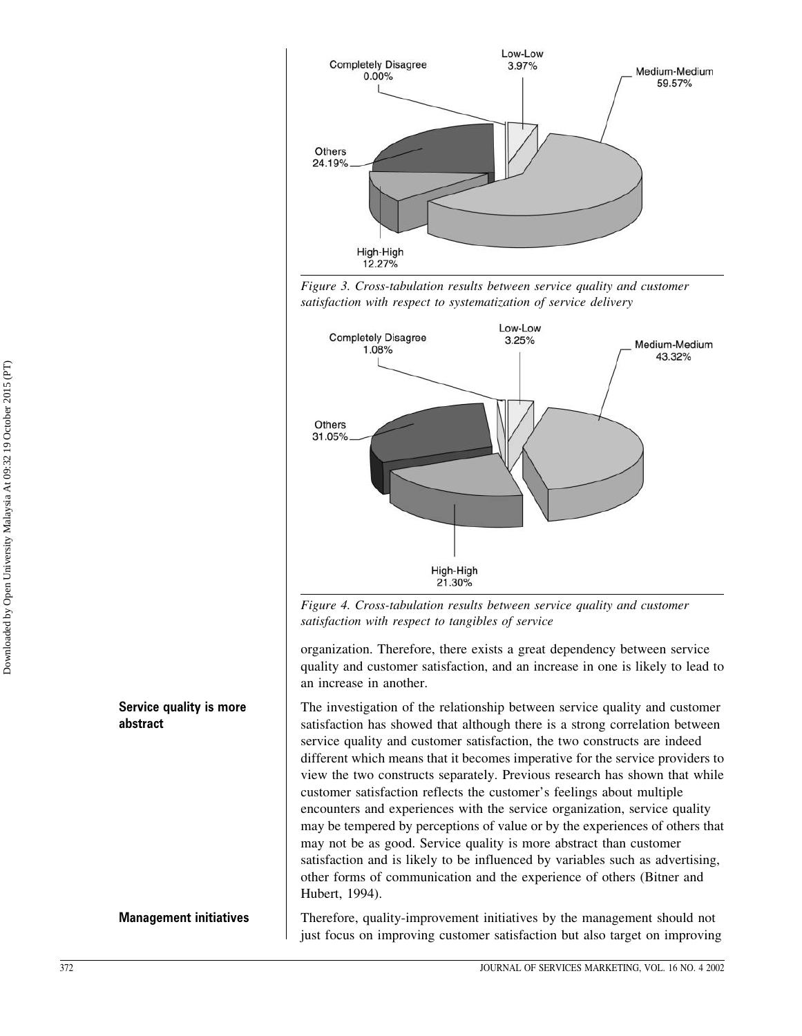

Figure 3. Cross-tabulation results between service quality and customer satisfaction with respect to systematization of service delivery



Figure 4. Cross-tabulation results between service quality and customer satisfaction with respect to tangibles of service

organization. Therefore, there exists a great dependency between service quality and customer satisfaction, and an increase in one is likely to lead to an increase in another.

The investigation of the relationship between service quality and customer satisfaction has showed that although there is a strong correlation between service quality and customer satisfaction, the two constructs are indeed different which means that it becomes imperative for the service providers to view the two constructs separately. Previous research has shown that while customer satisfaction reflects the customer's feelings about multiple encounters and experiences with the service organization, service quality may be tempered by perceptions of value or by the experiences of others that may not be as good. Service quality is more abstract than customer satisfaction and is likely to be influenced by variables such as advertising. other forms of communication and the experience of others (Bitner and Hubert, 1994).

Therefore, quality-improvement initiatives by the management should not just focus on improving customer satisfaction but also target on improving

Service quality is more abstract

## **Management initiatives**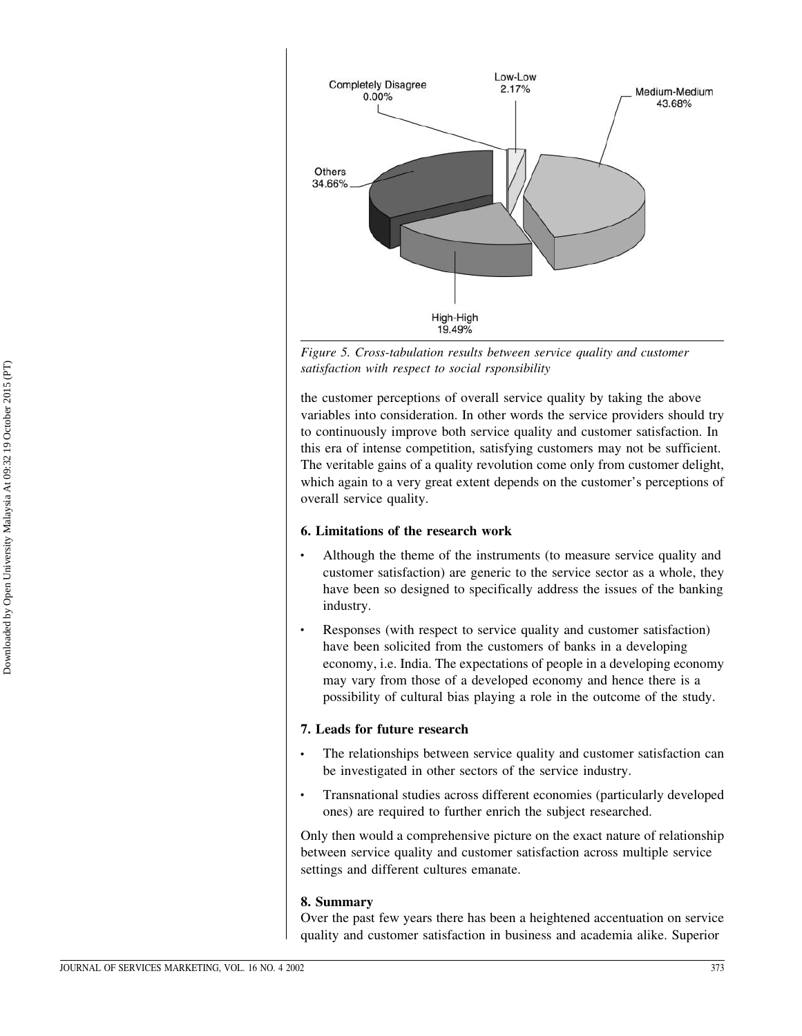

Figure 5. Cross-tabulation results between service quality and customer satisfaction with respect to social rsponsibility

the customer perceptions of overall service quality by taking the above variables into consideration. In other words the service providers should try to continuously improve both service quality and customer satisfaction. In this era of intense competition, satisfying customers may not be sufficient. The veritable gains of a quality revolution come only from customer delight, which again to a very great extent depends on the customer's perceptions of overall service quality.

#### 6. Limitations of the research work

- Although the theme of the instruments (to measure service quality and customer satisfaction) are generic to the service sector as a whole, they have been so designed to specifically address the issues of the banking industry.
- Responses (with respect to service quality and customer satisfaction)  $\ddot{\phantom{0}}$ have been solicited from the customers of banks in a developing economy, *i.e.* India. The expectations of people in a developing economy may vary from those of a developed economy and hence there is a possibility of cultural bias playing a role in the outcome of the study.

## 7. Leads for future research

- The relationships between service quality and customer satisfaction can be investigated in other sectors of the service industry.
- Transnational studies across different economies (particularly developed ones) are required to further enrich the subject researched.

Only then would a comprehensive picture on the exact nature of relationship between service quality and customer satisfaction across multiple service settings and different cultures emanate.

#### 8. Summary

Over the past few years there has been a heightened accentuation on service quality and customer satisfaction in business and academia alike. Superior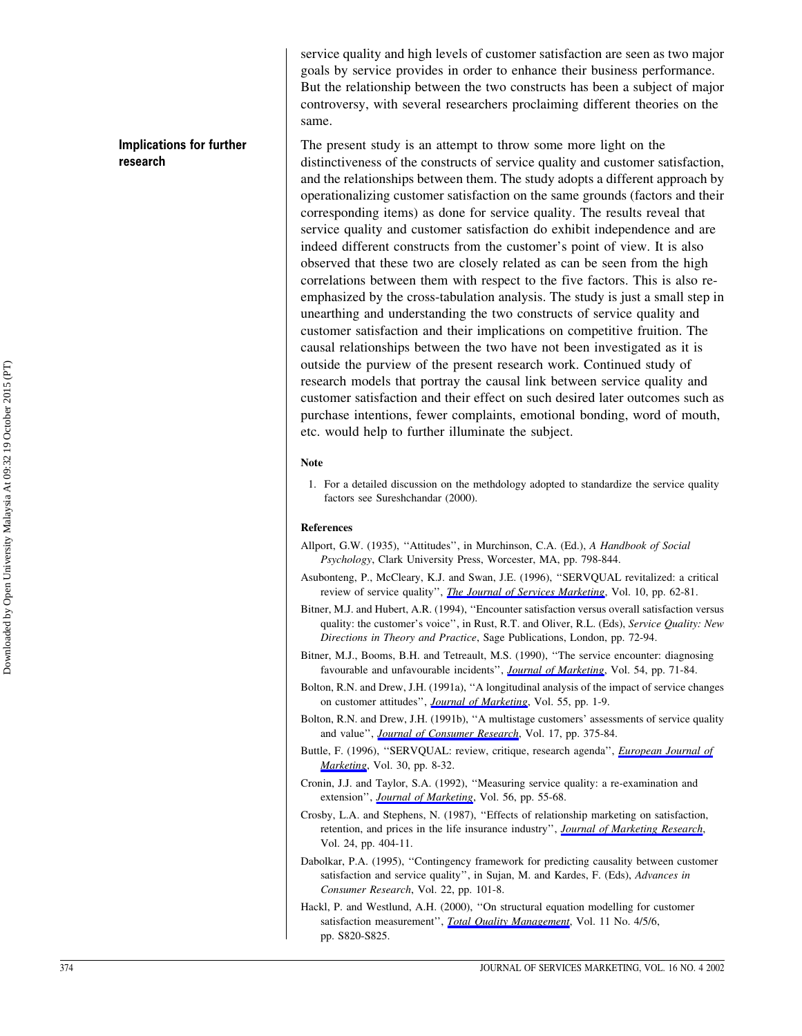**Implications for further** research

service quality and high levels of customer satisfaction are seen as two major goals by service provides in order to enhance their business performance. But the relationship between the two constructs has been a subject of major controversy, with several researchers proclaiming different theories on the same.

The present study is an attempt to throw some more light on the distinctiveness of the constructs of service quality and customer satisfaction, and the relationships between them. The study adopts a different approach by operationalizing customer satisfaction on the same grounds (factors and their corresponding items) as done for service quality. The results reveal that service quality and customer satisfaction do exhibit independence and are indeed different constructs from the customer's point of view. It is also observed that these two are closely related as can be seen from the high correlations between them with respect to the five factors. This is also reemphasized by the cross-tabulation analysis. The study is just a small step in unearthing and understanding the two constructs of service quality and customer satisfaction and their implications on competitive fruition. The causal relationships between the two have not been investigated as it is outside the purview of the present research work. Continued study of research models that portray the causal link between service quality and customer satisfaction and their effect on such desired later outcomes such as purchase intentions, fewer complaints, emotional bonding, word of mouth, etc. would help to further illuminate the subject.

#### **Note**

1. For a detailed discussion on the methology adopted to standardize the service quality factors see Sureshchandar (2000).

#### **References**

- Allport, G.W. (1935), "Attitudes", in Murchinson, C.A. (Ed.), A Handbook of Social Psychology, Clark University Press, Worcester, MA, pp. 798-844.
- Asubonteng, P., McCleary, K.J. and Swan, J.E. (1996), "SERVOUAL revitalized: a critical review of service quality", *The Journal of Services Marketing*, Vol. 10, pp. 62-81.
- Bitner, M.J. and Hubert, A.R. (1994), "Encounter satisfaction versus overall satisfaction versus quality: the customer's voice", in Rust, R.T. and Oliver, R.L. (Eds), Service Quality: New Directions in Theory and Practice, Sage Publications, London, pp. 72-94.
- Bitner, M.J., Booms, B.H. and Tetreault, M.S. (1990), "The service encounter: diagnosing favourable and unfavourable incidents", *Journal of Marketing*, Vol. 54, pp. 71-84.
- Bolton, R.N. and Drew, J.H. (1991a), "A longitudinal analysis of the impact of service changes on customer attitudes", *Journal of Marketing*, Vol. 55, pp. 1-9.
- Bolton, R.N. and Drew, J.H. (1991b), "A multistage customers' assessments of service quality and value", *Journal of Consumer Research*, Vol. 17, pp. 375-84.
- Buttle, F. (1996), "SERVQUAL: review, critique, research agenda", *European Journal of* Marketing, Vol. 30, pp. 8-32.
- Cronin, J.J. and Taylor, S.A. (1992), "Measuring service quality: a re-examination and extension", Journal of Marketing, Vol. 56, pp. 55-68.
- Crosby, L.A. and Stephens, N. (1987), "Effects of relationship marketing on satisfaction, retention, and prices in the life insurance industry", *Journal of Marketing Research*, Vol. 24, pp. 404-11.
- Dabolkar, P.A. (1995), "Contingency framework for predicting causality between customer satisfaction and service quality", in Sujan, M. and Kardes, F. (Eds), Advances in Consumer Research, Vol. 22, pp. 101-8.
- Hackl, P. and Westlund, A.H. (2000), "On structural equation modelling for customer satisfaction measurement", *Total Quality Management*, Vol. 11 No. 4/5/6, pp. S820-S825.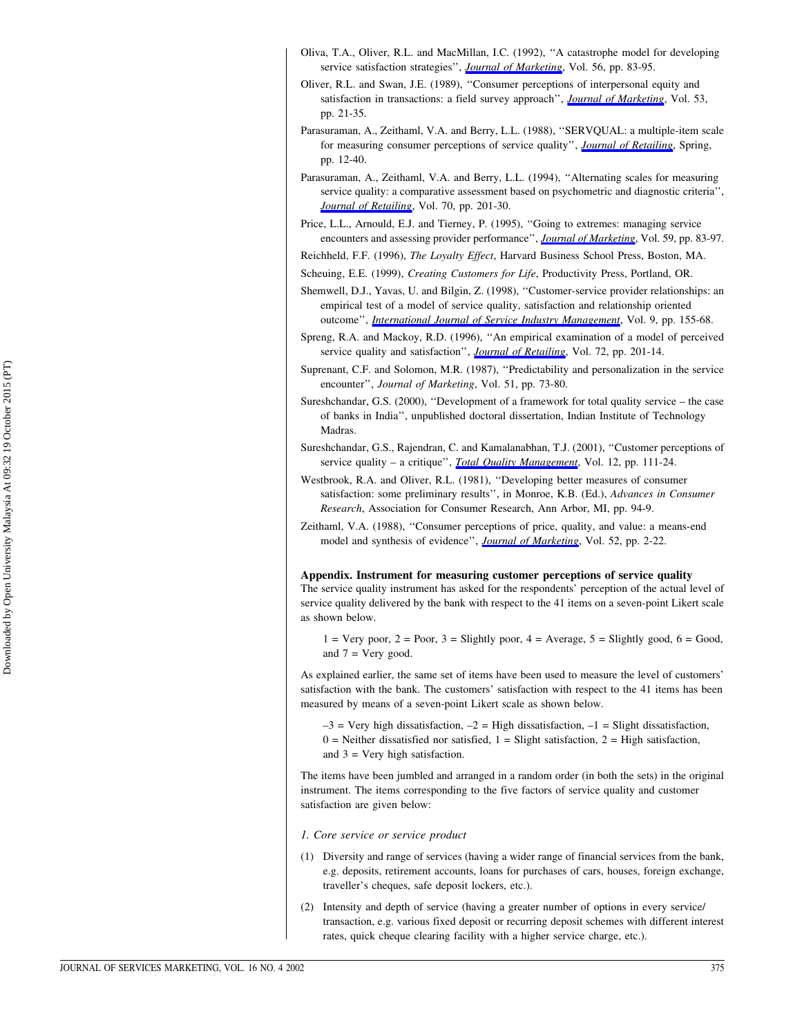- Oliva, T.A., Oliver, R.L. and MacMillan, I.C. (1992), "A catastrophe model for developing service satisfaction strategies", *Journal of Marketing*, Vol. 56, pp. 83-95.
- Oliver, R.L. and Swan, J.E. (1989), "Consumer perceptions of interpersonal equity and satisfaction in transactions: a field survey approach", *Journal of Marketing*, Vol. 53, pp. 21-35.
- Parasuraman, A., Zeithaml, V.A. and Berry, L.L. (1988), "SERVQUAL: a multiple-item scale for measuring consumer perceptions of service quality", *Journal of Retailing*, Spring, pp. 12-40.
- Parasuraman, A., Zeithaml, V.A. and Berry, L.L. (1994). "Alternating scales for measuring service quality: a comparative assessment based on psychometric and diagnostic criteria", Journal of Retailing, Vol. 70, pp. 201-30.
- Price, L.L., Arnould, E.J. and Tierney, P. (1995), "Going to extremes: managing service encounters and assessing provider performance", Journal of Marketing, Vol. 59, pp. 83-97.
- Reichheld, F.F. (1996), The Loyalty Effect, Harvard Business School Press, Boston, MA.
- Scheuing, E.E. (1999), Creating Customers for Life, Productivity Press, Portland, OR.
- Shemwell, D.J., Yavas, U. and Bilgin, Z. (1998), "Customer-service provider relationships: an empirical test of a model of service quality, satisfaction and relationship oriented outcome", *International Journal of Service Industry Management*, Vol. 9, pp. 155-68.
- Spreng, R.A. and Mackoy, R.D. (1996), "An empirical examination of a model of perceived service quality and satisfaction", *Journal of Retailing*, Vol. 72, pp. 201-14.
- Suprenant, C.F. and Solomon, M.R. (1987), "Predictability and personalization in the service encounter", Journal of Marketing, Vol. 51, pp. 73-80.
- Sureshchandar, G.S. (2000), "Development of a framework for total quality service the case of banks in India", unpublished doctoral dissertation, Indian Institute of Technology Madras.
- Sureshchandar, G.S., Rajendran, C. and Kamalanabhan, T.J. (2001), "Customer perceptions of service quality – a critique", *Total Quality Management*, Vol. 12, pp. 111-24.
- Westbrook, R.A. and Oliver, R.L. (1981), "Developing better measures of consumer satisfaction: some preliminary results", in Monroe, K.B. (Ed.), Advances in Consumer Research, Association for Consumer Research, Ann Arbor, MI, pp. 94-9.
- Zeithaml, V.A. (1988), "Consumer perceptions of price, quality, and value: a means-end model and synthesis of evidence", *Journal of Marketing*, Vol. 52, pp. 2-22.

Appendix. Instrument for measuring customer perceptions of service quality The service quality instrument has asked for the respondents' perception of the actual level of service quality delivered by the bank with respect to the 41 items on a seven-point Likert scale

 $1 = \text{Very poor}, 2 = \text{Poor}, 3 = \text{Slightly poor}, 4 = \text{Average}, 5 = \text{Slightly good}, 6 = \text{Good},$ and  $7 =$  Very good.

As explained earlier, the same set of items have been used to measure the level of customers' satisfaction with the bank. The customers' satisfaction with respect to the 41 items has been measured by means of a seven-point Likert scale as shown below.

 $-3$  = Very high dissatisfaction,  $-2$  = High dissatisfaction,  $-1$  = Slight dissatisfaction,  $0$  = Neither dissatisfied nor satisfied, 1 = Slight satisfaction, 2 = High satisfaction, and  $3$  = Very high satisfaction.

The items have been jumbled and arranged in a random order (in both the sets) in the original instrument. The items corresponding to the five factors of service quality and customer satisfaction are given below:

1. Core service or service product

as shown below.

- (1) Diversity and range of services (having a wider range of financial services from the bank, e.g. deposits, retirement accounts, loans for purchases of cars, houses, foreign exchange, traveller's cheques, safe deposit lockers, etc.).
- (2) Intensity and depth of service (having a greater number of options in every service/ transaction, e.g. various fixed deposit or recurring deposit schemes with different interest rates, quick cheque clearing facility with a higher service charge, etc.).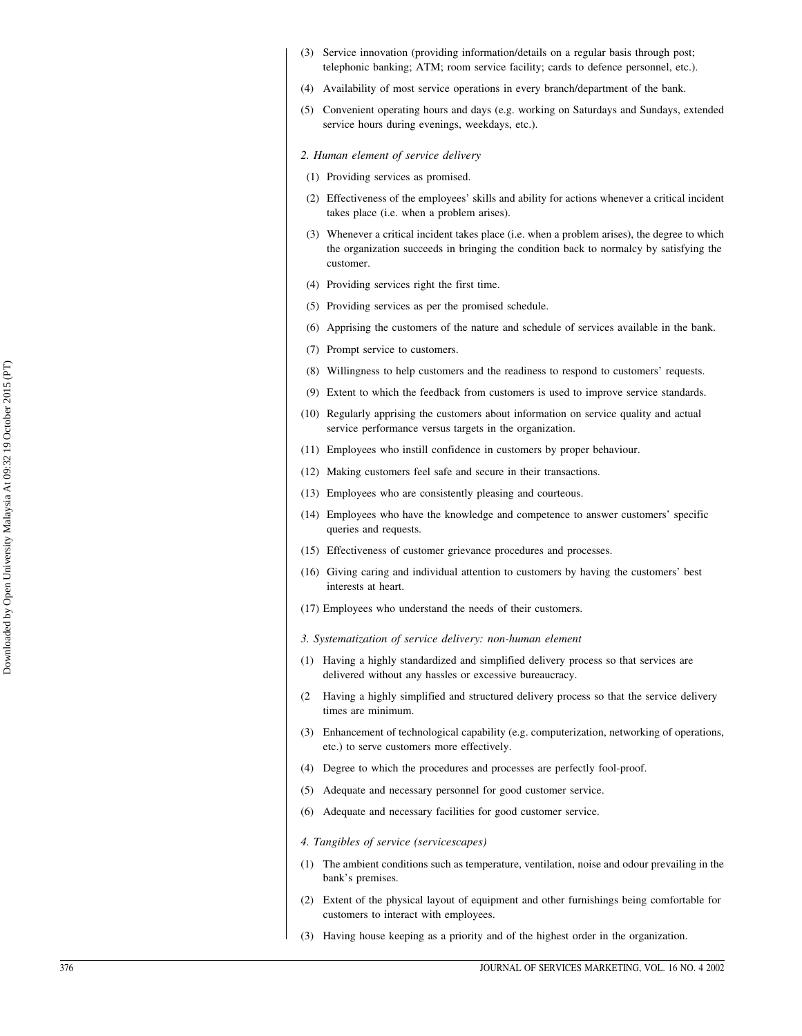- (3) Service innovation (providing information/details on a regular basis through post: telephonic banking; ATM; room service facility; cards to defence personnel, etc.).
- (4) Availability of most service operations in every branch/department of the bank.
- (5) Convenient operating hours and days (e.g. working on Saturdays and Sundays, extended service hours during evenings, weekdays, etc.).

#### 2. Human element of service delivery

- (1) Providing services as promised.
- (2) Effectiveness of the employees' skills and ability for actions whenever a critical incident takes place (i.e. when a problem arises).
- (3) Whenever a critical incident takes place (i.e. when a problem arises), the degree to which the organization succeeds in bringing the condition back to normalcy by satisfying the customer.
- (4) Providing services right the first time.
- (5) Providing services as per the promised schedule.
- (6) Apprising the customers of the nature and schedule of services available in the bank.
- (7) Prompt service to customers.
- (8) Willingness to help customers and the readiness to respond to customers' requests.
- (9) Extent to which the feedback from customers is used to improve service standards.
- (10) Regularly apprising the customers about information on service quality and actual service performance versus targets in the organization.
- (11) Employees who instill confidence in customers by proper behaviour.
- (12) Making customers feel safe and secure in their transactions.
- (13) Employees who are consistently pleasing and courteous.
- (14) Employees who have the knowledge and competence to answer customers' specific queries and requests.
- (15) Effectiveness of customer grievance procedures and processes.
- (16) Giving caring and individual attention to customers by having the customers' best interests at heart.
- (17) Employees who understand the needs of their customers.
- 3. Systematization of service delivery: non-human element
- (1) Having a highly standardized and simplified delivery process so that services are delivered without any hassles or excessive bureaucracy.
- (2 Having a highly simplified and structured delivery process so that the service delivery times are minimum.
- (3) Enhancement of technological capability (e.g. computerization, networking of operations, etc.) to serve customers more effectively.
- (4) Degree to which the procedures and processes are perfectly fool-proof.
- (5) Adequate and necessary personnel for good customer service.
- (6) Adequate and necessary facilities for good customer service.
- 4. Tangibles of service (servicescapes)
- (1) The ambient conditions such as temperature, ventilation, noise and odour prevailing in the bank's premises.
- (2) Extent of the physical layout of equipment and other furnishings being comfortable for customers to interact with employees.
- (3) Having house keeping as a priority and of the highest order in the organization.

Downloaded by Open University Malaysia At 09:32 19 October 2015 (PT)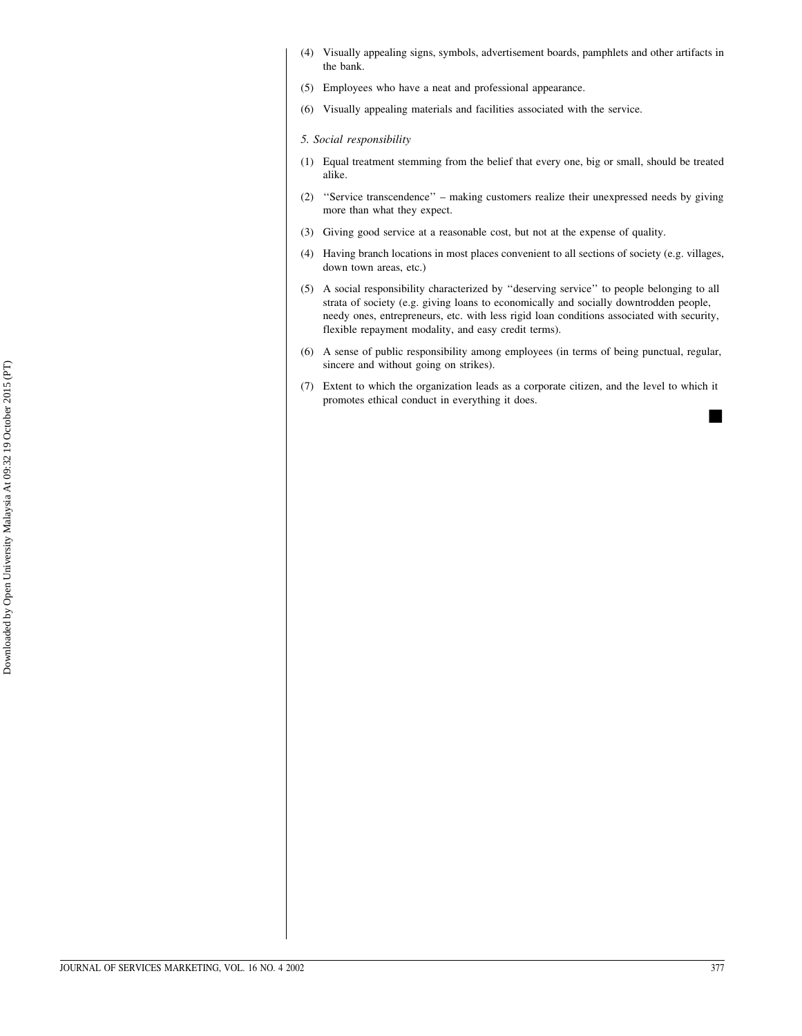- (4) Visually appealing signs, symbols, advertisement boards, pamphlets and other artifacts in the bank.
- (5) Employees who have a neat and professional appearance.
- (6) Visually appealing materials and facilities associated with the service.

#### 5. Social responsibility

- (1) Equal treatment stemming from the belief that every one, big or small, should be treated alike.
- (2) "Service transcendence" making customers realize their unexpressed needs by giving more than what they expect.
- (3) Giving good service at a reasonable cost, but not at the expense of quality.
- (4) Having branch locations in most places convenient to all sections of society (e.g. villages, down town areas, etc.)
- (5) A social responsibility characterized by "deserving service" to people belonging to all strata of society (e.g. giving loans to economically and socially downtrodden people, needy ones, entrepreneurs, etc. with less rigid loan conditions associated with security, flexible repayment modality, and easy credit terms).
- (6) A sense of public responsibility among employees (in terms of being punctual, regular, sincere and without going on strikes).
- (7) Extent to which the organization leads as a corporate citizen, and the level to which it promotes ethical conduct in everything it does.

ш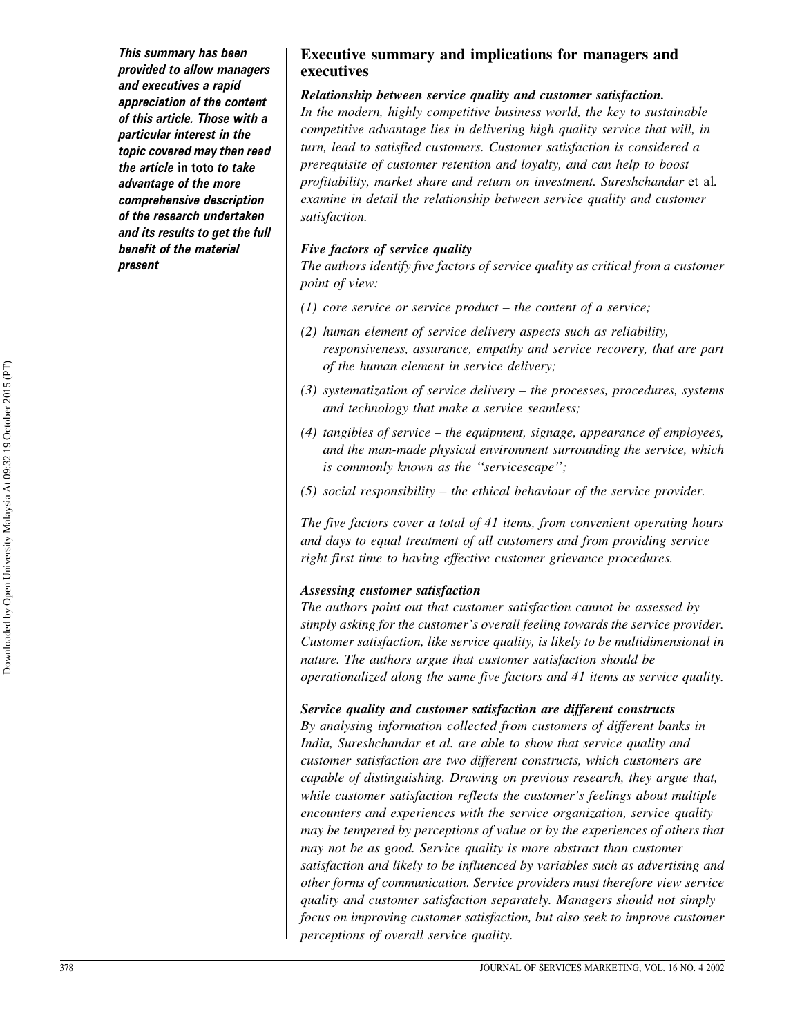This summary has been provided to allow managers and executives a rapid appreciation of the content of this article. Those with a particular interest in the topic covered may then read the article in toto to take advantage of the more comprehensive description of the research undertaken and its results to get the full benefit of the material present

## **Executive summary and implications for managers and** executives

#### Relationship between service quality and customer satisfaction.

In the modern, highly competitive business world, the key to sustainable competitive advantage lies in delivering high quality service that will, in turn, lead to satisfied customers. Customer satisfaction is considered a prerequisite of customer retention and loyalty, and can help to boost profitability, market share and return on investment. Sureshchandar et al. examine in detail the relationship between service quality and customer satisfaction.

#### Five factors of service quality

The authors identify five factors of service quality as critical from a customer point of view:

- (1) core service or service product  $-$  the content of a service;
- (2) human element of service delivery aspects such as reliability, responsiveness, assurance, empathy and service recovery, that are part of the human element in service delivery;
- $(3)$  systematization of service delivery the processes, procedures, systems and technology that make a service seamless;
- $(4)$  tangibles of service the equipment, signage, appearance of employees, and the man-made physical environment surrounding the service, which is commonly known as the "servicescape";
- $(5)$  social responsibility the ethical behaviour of the service provider.

The five factors cover a total of 41 items, from convenient operating hours and days to equal treatment of all customers and from providing service right first time to having effective customer grievance procedures.

## Assessing customer satisfaction

The authors point out that customer satisfaction cannot be assessed by simply asking for the customer's overall feeling towards the service provider. Customer satisfaction, like service quality, is likely to be multidimensional in nature. The authors argue that customer satisfaction should be operationalized along the same five factors and 41 items as service quality.

## Service quality and customer satisfaction are different constructs

By analysing information collected from customers of different banks in India, Sureshchandar et al. are able to show that service quality and customer satisfaction are two different constructs, which customers are capable of distinguishing. Drawing on previous research, they argue that, while customer satisfaction reflects the customer's feelings about multiple encounters and experiences with the service organization, service quality may be tempered by perceptions of value or by the experiences of others that may not be as good. Service quality is more abstract than customer satisfaction and likely to be influenced by variables such as advertising and other forms of communication. Service providers must therefore view service quality and customer satisfaction separately. Managers should not simply focus on improving customer satisfaction, but also seek to improve customer perceptions of overall service quality.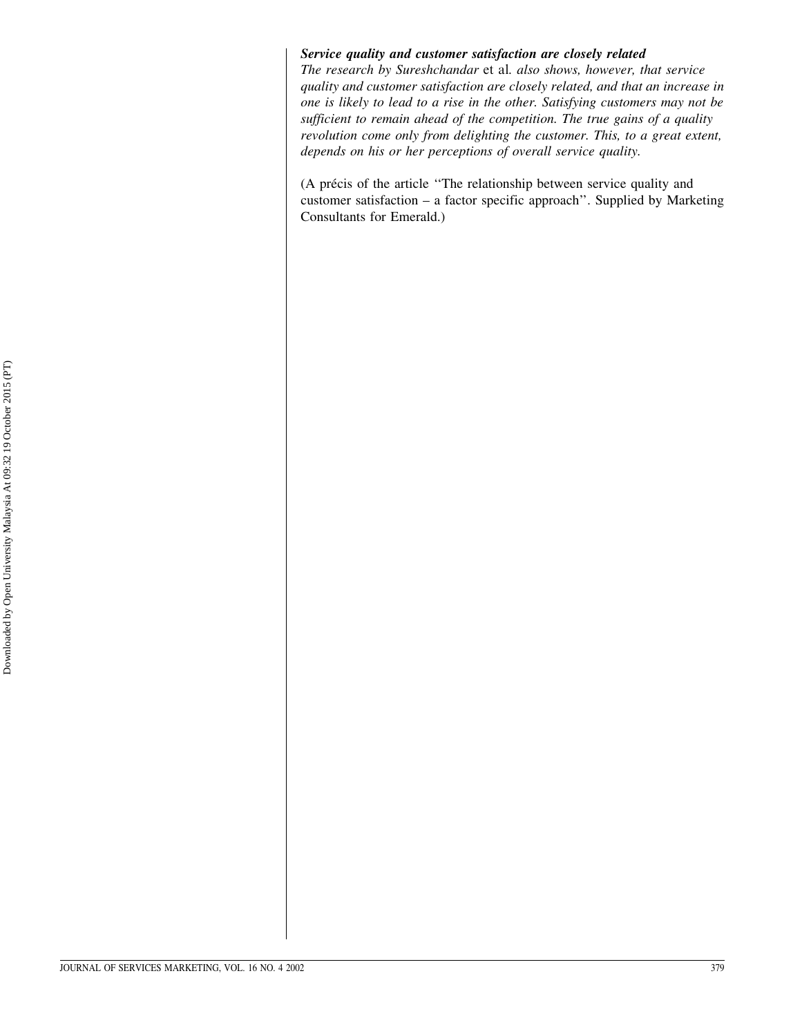#### Service quality and customer satisfaction are closely related

The research by Sureshchandar et al. also shows, however, that service quality and customer satisfaction are closely related, and that an increase in one is likely to lead to a rise in the other. Satisfying customers may not be sufficient to remain ahead of the competition. The true gains of a quality revolution come only from delighting the customer. This, to a great extent, depends on his or her perceptions of overall service quality.

(A précis of the article "The relationship between service quality and customer satisfaction  $-$  a factor specific approach". Supplied by Marketing Consultants for Emerald.)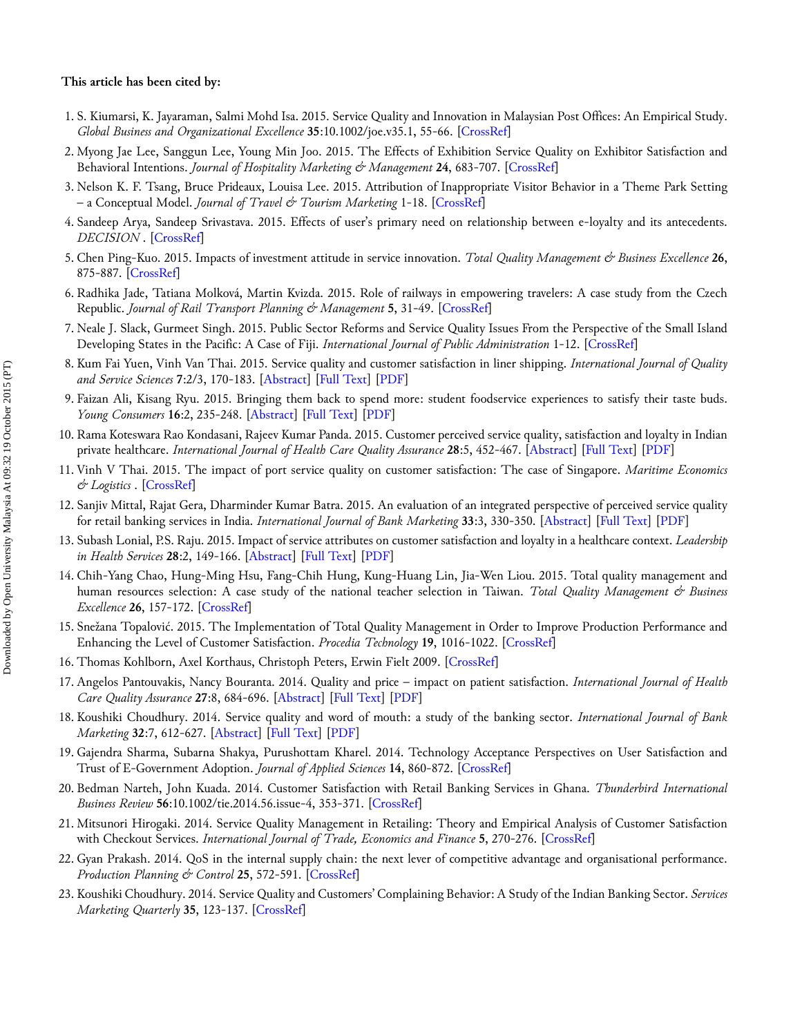#### **This article has been cited by:**

- 1. S. Kiumarsi, K. Jayaraman, Salmi Mohd Isa. 2015. Service Quality and Innovation in Malaysian Post Offices: An Empirical Study. *Global Business and Organizational Excellence* **35**:10.1002/joe.v35.1, 55-66. [\[CrossRef](http://dx.doi.org/10.1002/joe.21645)]
- 2. Myong Jae Lee, Sanggun Lee, Young Min Joo. 2015. The Effects of Exhibition Service Quality on Exhibitor Satisfaction and Behavioral Intentions. *Journal of Hospitality Marketing & Management* **24**, 683-707. [\[CrossRef](http://dx.doi.org/10.1080/19368623.2014.934982)]
- 3. Nelson K. F. Tsang, Bruce Prideaux, Louisa Lee. 2015. Attribution of Inappropriate Visitor Behavior in a Theme Park Setting – a Conceptual Model. *Journal of Travel & Tourism Marketing* 1-18. [[CrossRef\]](http://dx.doi.org/10.1080/10548408.2015.1084976)
- 4. Sandeep Arya, Sandeep Srivastava. 2015. Effects of user's primary need on relationship between e-loyalty and its antecedents. *DECISION* . [[CrossRef\]](http://dx.doi.org/10.1007/s40622-015-0103-3)
- 5. Chen Ping-Kuo. 2015. Impacts of investment attitude in service innovation. *Total Quality Management & Business Excellence* **26**, 875-887. [\[CrossRef](http://dx.doi.org/10.1080/14783363.2014.901802)]
- 6. Radhika Jade, Tatiana Molková, Martin Kvizda. 2015. Role of railways in empowering travelers: A case study from the Czech Republic. *Journal of Rail Transport Planning & Management* **5**, 31-49. [[CrossRef\]](http://dx.doi.org/10.1016/j.jrtpm.2015.03.001)
- 7. Neale J. Slack, Gurmeet Singh. 2015. Public Sector Reforms and Service Quality Issues From the Perspective of the Small Island Developing States in the Pacific: A Case of Fiji. *International Journal of Public Administration* 1-12. [[CrossRef](http://dx.doi.org/10.1080/01900692.2014.956895)]
- 8. Kum Fai Yuen, Vinh Van Thai. 2015. Service quality and customer satisfaction in liner shipping. *International Journal of Quality and Service Sciences* **7**:2/3, 170-183. [\[Abstract](http://dx.doi.org/10.1108/IJQSS-02-2015-0024)] [\[Full Text](http://www.emeraldinsight.com/doi/full/10.1108/IJQSS-02-2015-0024)] [[PDF\]](http://www.emeraldinsight.com/doi/pdfplus/10.1108/IJQSS-02-2015-0024)
- 9. Faizan Ali, Kisang Ryu. 2015. Bringing them back to spend more: student foodservice experiences to satisfy their taste buds. *Young Consumers* **16**:2, 235-248. [\[Abstract](http://dx.doi.org/10.1108/YC-05-2014-00441)] [[Full Text\]](http://www.emeraldinsight.com/doi/full/10.1108/YC-05-2014-00441) [[PDF\]](http://www.emeraldinsight.com/doi/pdfplus/10.1108/YC-05-2014-00441)
- 10. Rama Koteswara Rao Kondasani, Rajeev Kumar Panda. 2015. Customer perceived service quality, satisfaction and loyalty in Indian private healthcare. *International Journal of Health Care Quality Assurance* **28**:5, 452-467. [\[Abstract](http://dx.doi.org/10.1108/IJHCQA-01-2015-0008)] [\[Full Text](http://www.emeraldinsight.com/doi/full/10.1108/IJHCQA-01-2015-0008)] [\[PDF\]](http://www.emeraldinsight.com/doi/pdfplus/10.1108/IJHCQA-01-2015-0008)
- 11. Vinh V Thai. 2015. The impact of port service quality on customer satisfaction: The case of Singapore. *Maritime Economics & Logistics* . [\[CrossRef](http://dx.doi.org/10.1057/mel.2015.19)]
- 12. Sanjiv Mittal, Rajat Gera, Dharminder Kumar Batra. 2015. An evaluation of an integrated perspective of perceived service quality for retail banking services in India. *International Journal of Bank Marketing* **33**:3, 330-350. [\[Abstract](http://dx.doi.org/10.1108/IJBM-02-2014-0020)] [\[Full Text](http://www.emeraldinsight.com/doi/full/10.1108/IJBM-02-2014-0020)] [\[PDF\]](http://www.emeraldinsight.com/doi/pdfplus/10.1108/IJBM-02-2014-0020)
- 13. Subash Lonial, P.S. Raju. 2015. Impact of service attributes on customer satisfaction and loyalty in a healthcare context. *Leadership in Health Services* **28**:2, 149-166. [\[Abstract](http://dx.doi.org/10.1108/LHS-12-2013-0045)] [[Full Text\]](http://www.emeraldinsight.com/doi/full/10.1108/LHS-12-2013-0045) [[PDF\]](http://www.emeraldinsight.com/doi/pdfplus/10.1108/LHS-12-2013-0045)
- 14. Chih-Yang Chao, Hung-Ming Hsu, Fang-Chih Hung, Kung-Huang Lin, Jia-Wen Liou. 2015. Total quality management and human resources selection: A case study of the national teacher selection in Taiwan. *Total Quality Management & Business Excellence* **26**, 157-172. [\[CrossRef](http://dx.doi.org/10.1080/14783363.2012.733261)]
- 15. Snežana Topalović. 2015. The Implementation of Total Quality Management in Order to Improve Production Performance and Enhancing the Level of Customer Satisfaction. *Procedia Technology* **19**, 1016-1022. [\[CrossRef](http://dx.doi.org/10.1016/j.protcy.2015.02.145)]
- 16. Thomas Kohlborn, Axel Korthaus, Christoph Peters, Erwin Fielt 2009. [[CrossRef\]](http://dx.doi.org/10.4018/978-1-4666-8358-7.ch103)
- 17. Angelos Pantouvakis, Nancy Bouranta. 2014. Quality and price impact on patient satisfaction. *International Journal of Health Care Quality Assurance* **27**:8, 684-696. [[Abstract\]](http://dx.doi.org/10.1108/IJHCQA-10-2013-0128) [[Full Text\]](http://www.emeraldinsight.com/doi/full/10.1108/IJHCQA-10-2013-0128) [[PDF](http://www.emeraldinsight.com/doi/pdfplus/10.1108/IJHCQA-10-2013-0128)]
- 18. Koushiki Choudhury. 2014. Service quality and word of mouth: a study of the banking sector. *International Journal of Bank Marketing* **32**:7, 612-627. [[Abstract\]](http://dx.doi.org/10.1108/IJBM-12-2012-0122) [[Full Text\]](http://www.emeraldinsight.com/doi/full/10.1108/IJBM-12-2012-0122) [[PDF](http://www.emeraldinsight.com/doi/pdfplus/10.1108/IJBM-12-2012-0122)]
- 19. Gajendra Sharma, Subarna Shakya, Purushottam Kharel. 2014. Technology Acceptance Perspectives on User Satisfaction and Trust of E-Government Adoption. *Journal of Applied Sciences* **14**, 860-872. [\[CrossRef](http://dx.doi.org/10.3923/jas.2014.860.872)]
- 20. Bedman Narteh, John Kuada. 2014. Customer Satisfaction with Retail Banking Services in Ghana. *Thunderbird International Business Review* **56**:10.1002/tie.2014.56.issue-4, 353-371. [\[CrossRef](http://dx.doi.org/10.1002/tie.21626)]
- 21. Mitsunori Hirogaki. 2014. Service Quality Management in Retailing: Theory and Empirical Analysis of Customer Satisfaction with Checkout Services. *International Journal of Trade, Economics and Finance* **5**, 270-276. [\[CrossRef](http://dx.doi.org/10.7763/IJTEF.2014.V5.383)]
- 22. Gyan Prakash. 2014. QoS in the internal supply chain: the next lever of competitive advantage and organisational performance. *Production Planning & Control* **25**, 572-591. [[CrossRef\]](http://dx.doi.org/10.1080/09537287.2012.729101)
- 23. Koushiki Choudhury. 2014. Service Quality and Customers' Complaining Behavior: A Study of the Indian Banking Sector. *Services Marketing Quarterly* **35**, 123-137. [\[CrossRef](http://dx.doi.org/10.1080/15332969.2014.885361)]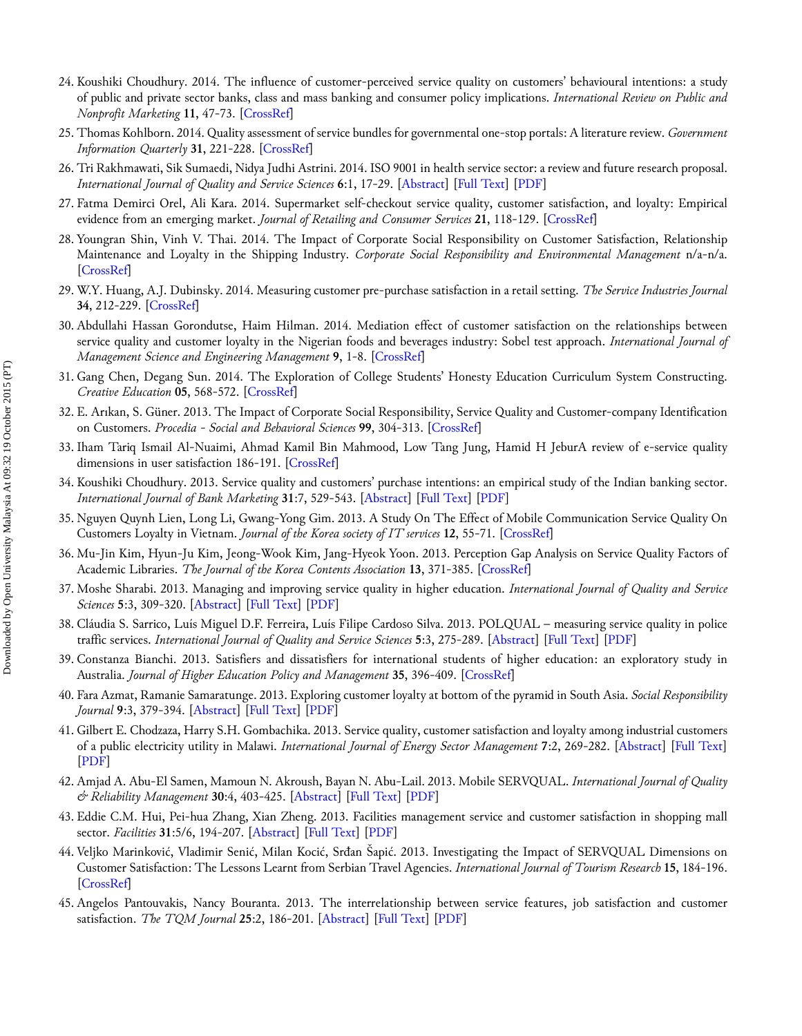- 24. Koushiki Choudhury. 2014. The influence of customer-perceived service quality on customers' behavioural intentions: a study of public and private sector banks, class and mass banking and consumer policy implications. *International Review on Public and Nonprofit Marketing* **11**, 47-73. [\[CrossRef](http://dx.doi.org/10.1007/s12208-013-0107-7)]
- 25. Thomas Kohlborn. 2014. Quality assessment of service bundles for governmental one-stop portals: A literature review. *Government Information Quarterly* **31**, 221-228. [[CrossRef\]](http://dx.doi.org/10.1016/j.giq.2013.10.006)
- 26. Tri Rakhmawati, Sik Sumaedi, Nidya Judhi Astrini. 2014. ISO 9001 in health service sector: a review and future research proposal. *International Journal of Quality and Service Sciences* **6**:1, 17-29. [[Abstract\]](http://dx.doi.org/10.1108/IJQSS-12-2012-0025) [\[Full Text](http://www.emeraldinsight.com/doi/full/10.1108/IJQSS-12-2012-0025)] [\[PDF](http://www.emeraldinsight.com/doi/pdfplus/10.1108/IJQSS-12-2012-0025)]
- 27. Fatma Demirci Orel, Ali Kara. 2014. Supermarket self-checkout service quality, customer satisfaction, and loyalty: Empirical evidence from an emerging market. *Journal of Retailing and Consumer Services* **21**, 118-129. [[CrossRef\]](http://dx.doi.org/10.1016/j.jretconser.2013.07.002)
- 28. Youngran Shin, Vinh V. Thai. 2014. The Impact of Corporate Social Responsibility on Customer Satisfaction, Relationship Maintenance and Loyalty in the Shipping Industry. *Corporate Social Responsibility and Environmental Management* n/a-n/a. [\[CrossRef](http://dx.doi.org/10.1002/csr.1352)]
- 29. W.Y. Huang, A.J. Dubinsky. 2014. Measuring customer pre-purchase satisfaction in a retail setting. *The Service Industries Journal* **34**, 212-229. [\[CrossRef](http://dx.doi.org/10.1080/02642069.2013.778249)]
- 30. Abdullahi Hassan Gorondutse, Haim Hilman. 2014. Mediation effect of customer satisfaction on the relationships between service quality and customer loyalty in the Nigerian foods and beverages industry: Sobel test approach. *International Journal of Management Science and Engineering Management* **9**, 1-8. [\[CrossRef](http://dx.doi.org/10.1080/17509653.2013.812337)]
- 31. Gang Chen, Degang Sun. 2014. The Exploration of College Students' Honesty Education Curriculum System Constructing. *Creative Education* **05**, 568-572. [\[CrossRef](http://dx.doi.org/10.4236/ce.2014.58067)]
- 32. E. Arıkan, S. Güner. 2013. The Impact of Corporate Social Responsibility, Service Quality and Customer-company Identification on Customers. *Procedia - Social and Behavioral Sciences* **99**, 304-313. [[CrossRef\]](http://dx.doi.org/10.1016/j.sbspro.2013.10.498)
- 33. Iham Tariq Ismail Al-Nuaimi, Ahmad Kamil Bin Mahmood, Low Tang Jung, Hamid H JeburA review of e-service quality dimensions in user satisfaction 186-191. [[CrossRef\]](http://dx.doi.org/10.1109/ICRIIS.2013.6716706)
- 34. Koushiki Choudhury. 2013. Service quality and customers' purchase intentions: an empirical study of the Indian banking sector. *International Journal of Bank Marketing* **31**:7, 529-543. [\[Abstract](http://dx.doi.org/10.1108/IJBM-02-2013-0009)] [[Full Text\]](http://www.emeraldinsight.com/doi/full/10.1108/IJBM-02-2013-0009) [[PDF\]](http://www.emeraldinsight.com/doi/pdfplus/10.1108/IJBM-02-2013-0009)
- 35. Nguyen Quynh Lien, Long Li, Gwang-Yong Gim. 2013. A Study On The Effect of Mobile Communication Service Quality On Customers Loyalty in Vietnam. *Journal of the Korea society of IT services* **12**, 55-71. [\[CrossRef](http://dx.doi.org/10.9716/KITS.2013.12.3.055)]
- 36. Mu-Jin Kim, Hyun-Ju Kim, Jeong-Wook Kim, Jang-Hyeok Yoon. 2013. Perception Gap Analysis on Service Quality Factors of Academic Libraries. *The Journal of the Korea Contents Association* **13**, 371-385. [[CrossRef\]](http://dx.doi.org/10.5392/JKCA.2013.13.08.371)
- 37. Moshe Sharabi. 2013. Managing and improving service quality in higher education. *International Journal of Quality and Service Sciences* **5**:3, 309-320. [\[Abstract](http://dx.doi.org/10.1108/IJQSS-03-2013-0016)] [[Full Text\]](http://www.emeraldinsight.com/doi/full/10.1108/IJQSS-03-2013-0016) [[PDF\]](http://www.emeraldinsight.com/doi/pdfplus/10.1108/IJQSS-03-2013-0016)
- 38. Cláudia S. Sarrico, Luís Miguel D.F. Ferreira, Luís Filipe Cardoso Silva. 2013. POLQUAL measuring service quality in police traffic services. *International Journal of Quality and Service Sciences* **5**:3, 275-289. [\[Abstract](http://dx.doi.org/10.1108/IJQSS-12-2012-0024)] [\[Full Text](http://www.emeraldinsight.com/doi/full/10.1108/IJQSS-12-2012-0024)] [\[PDF\]](http://www.emeraldinsight.com/doi/pdfplus/10.1108/IJQSS-12-2012-0024)
- 39. Constanza Bianchi. 2013. Satisfiers and dissatisfiers for international students of higher education: an exploratory study in Australia. *Journal of Higher Education Policy and Management* **35**, 396-409. [[CrossRef\]](http://dx.doi.org/10.1080/1360080X.2013.812057)
- 40. Fara Azmat, Ramanie Samaratunge. 2013. Exploring customer loyalty at bottom of the pyramid in South Asia. *Social Responsibility Journal* **9**:3, 379-394. [[Abstract\]](http://dx.doi.org/10.1108/SRJ-09-2011-0077) [\[Full Text](http://www.emeraldinsight.com/doi/full/10.1108/SRJ-09-2011-0077)] [\[PDF](http://www.emeraldinsight.com/doi/pdfplus/10.1108/SRJ-09-2011-0077)]
- 41. Gilbert E. Chodzaza, Harry S.H. Gombachika. 2013. Service quality, customer satisfaction and loyalty among industrial customers of a public electricity utility in Malawi. *International Journal of Energy Sector Management* **7**:2, 269-282. [\[Abstract](http://dx.doi.org/10.1108/IJESM-02-2013-0003)] [\[Full Text\]](http://www.emeraldinsight.com/doi/full/10.1108/IJESM-02-2013-0003) [\[PDF](http://www.emeraldinsight.com/doi/pdfplus/10.1108/IJESM-02-2013-0003)]
- 42. Amjad A. Abu‐El Samen, Mamoun N. Akroush, Bayan N. Abu‐Lail. 2013. Mobile SERVQUAL. *International Journal of Quality & Reliability Management* **30**:4, 403-425. [\[Abstract](http://dx.doi.org/10.1108/02656711311308394)] [\[Full Text](http://www.emeraldinsight.com/doi/full/10.1108/02656711311308394)] [\[PDF](http://www.emeraldinsight.com/doi/pdfplus/10.1108/02656711311308394)]
- 43. Eddie C.M. Hui, Pei‐hua Zhang, Xian Zheng. 2013. Facilities management service and customer satisfaction in shopping mall sector. *Facilities* **31**:5/6, 194-207. [[Abstract\]](http://dx.doi.org/10.1108/02632771311307070) [[Full Text\]](http://www.emeraldinsight.com/doi/full/10.1108/02632771311307070) [\[PDF](http://www.emeraldinsight.com/doi/pdfplus/10.1108/02632771311307070)]
- 44. Veljko Marinković, Vladimir Senić, Milan Kocić, Srđan Šapić. 2013. Investigating the Impact of SERVQUAL Dimensions on Customer Satisfaction: The Lessons Learnt from Serbian Travel Agencies. *International Journal of Tourism Research* **15**, 184-196. [\[CrossRef](http://dx.doi.org/10.1002/jtr.884)]
- 45. Angelos Pantouvakis, Nancy Bouranta. 2013. The interrelationship between service features, job satisfaction and customer satisfaction. *The TQM Journal* **25**:2, 186-201. [[Abstract\]](http://dx.doi.org/10.1108/17542731311299618) [[Full Text\]](http://www.emeraldinsight.com/doi/full/10.1108/17542731311299618) [\[PDF](http://www.emeraldinsight.com/doi/pdfplus/10.1108/17542731311299618)]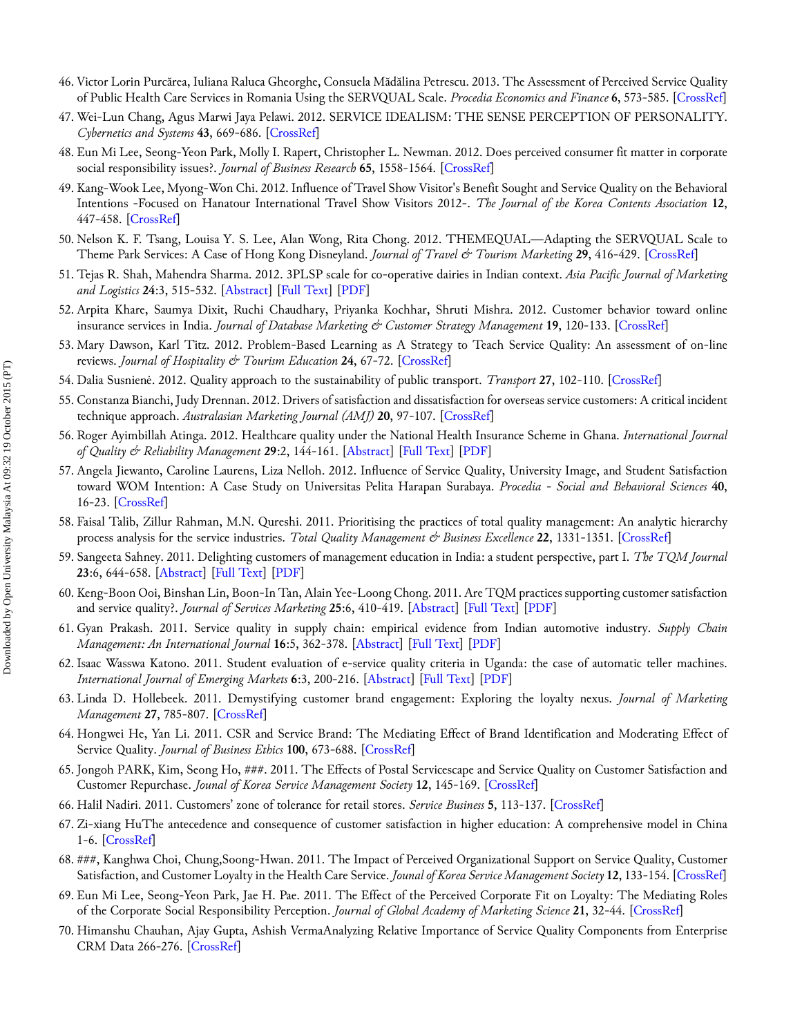- 46. Victor Lorin Purcărea, Iuliana Raluca Gheorghe, Consuela Mădălina Petrescu. 2013. The Assessment of Perceived Service Quality of Public Health Care Services in Romania Using the SERVQUAL Scale. *Procedia Economics and Finance* **6**, 573-585. [[CrossRef\]](http://dx.doi.org/10.1016/S2212-5671(13)00175-5)
- 47. Wei-Lun Chang, Agus Marwi Jaya Pelawi. 2012. SERVICE IDEALISM: THE SENSE PERCEPTION OF PERSONALITY. *Cybernetics and Systems* **43**, 669-686. [[CrossRef\]](http://dx.doi.org/10.1080/01969722.2012.717857)
- 48. Eun Mi Lee, Seong-Yeon Park, Molly I. Rapert, Christopher L. Newman. 2012. Does perceived consumer fit matter in corporate social responsibility issues?. *Journal of Business Research* **65**, 1558-1564. [\[CrossRef](http://dx.doi.org/10.1016/j.jbusres.2011.02.040)]
- 49. Kang-Wook Lee, Myong-Won Chi. 2012. Influence of Travel Show Visitor's Benefit Sought and Service Quality on the Behavioral Intentions -Focused on Hanatour International Travel Show Visitors 2012-. *The Journal of the Korea Contents Association* **12**, 447-458. [\[CrossRef](http://dx.doi.org/10.5392/JKCA.2012.12.09.447)]
- 50. Nelson K. F. Tsang, Louisa Y. S. Lee, Alan Wong, Rita Chong. 2012. THEMEQUAL—Adapting the SERVQUAL Scale to Theme Park Services: A Case of Hong Kong Disneyland. *Journal of Travel & Tourism Marketing* **29**, 416-429. [\[CrossRef](http://dx.doi.org/10.1080/10548408.2012.691391)]
- 51. Tejas R. Shah, Mahendra Sharma. 2012. 3PLSP scale for co‐operative dairies in Indian context. *Asia Pacific Journal of Marketing and Logistics* **24**:3, 515-532. [[Abstract\]](http://dx.doi.org/10.1108/13555851211237948) [[Full Text\]](http://www.emeraldinsight.com/doi/full/10.1108/13555851211237948) [[PDF](http://www.emeraldinsight.com/doi/pdfplus/10.1108/13555851211237948)]
- 52. Arpita Khare, Saumya Dixit, Ruchi Chaudhary, Priyanka Kochhar, Shruti Mishra. 2012. Customer behavior toward online insurance services in India. *Journal of Database Marketing & Customer Strategy Management* **19**, 120-133. [\[CrossRef](http://dx.doi.org/10.1057/dbm.2012.14)]
- 53. Mary Dawson, Karl Titz. 2012. Problem-Based Learning as A Strategy to Teach Service Quality: An assessment of on-line reviews. *Journal of Hospitality & Tourism Education* **24**, 67-72. [[CrossRef\]](http://dx.doi.org/10.1080/10963758.2012.10696672)
- 54.Dalia Susnienė. 2012. Quality approach to the sustainability of public transport. *Transport* **27**, 102-110. [\[CrossRef](http://dx.doi.org/10.3846/16484142.2012.668711)]
- 55. Constanza Bianchi, Judy Drennan. 2012. Drivers of satisfaction and dissatisfaction for overseas service customers: A critical incident technique approach. *Australasian Marketing Journal (AMJ)* **20**, 97-107. [[CrossRef](http://dx.doi.org/10.1016/j.ausmj.2011.08.004)]
- 56. Roger Ayimbillah Atinga. 2012. Healthcare quality under the National Health Insurance Scheme in Ghana. *International Journal of Quality & Reliability Management* **29**:2, 144-161. [[Abstract\]](http://dx.doi.org/10.1108/02656711211199883) [[Full Text\]](http://www.emeraldinsight.com/doi/full/10.1108/02656711211199883) [\[PDF](http://www.emeraldinsight.com/doi/pdfplus/10.1108/02656711211199883)]
- 57. Angela Jiewanto, Caroline Laurens, Liza Nelloh. 2012. Influence of Service Quality, University Image, and Student Satisfaction toward WOM Intention: A Case Study on Universitas Pelita Harapan Surabaya. *Procedia - Social and Behavioral Sciences* **40**, 16-23. [\[CrossRef](http://dx.doi.org/10.1016/j.sbspro.2012.03.155)]
- 58. Faisal Talib, Zillur Rahman, M.N. Qureshi. 2011. Prioritising the practices of total quality management: An analytic hierarchy process analysis for the service industries. *Total Quality Management & Business Excellence* **22**, 1331-1351. [[CrossRef\]](http://dx.doi.org/10.1080/14783363.2011.625192)
- 59. Sangeeta Sahney. 2011. Delighting customers of management education in India: a student perspective, part I. *The TQM Journal* **23**:6, 644-658. [[Abstract\]](http://dx.doi.org/10.1108/17542731111175257) [\[Full Text](http://www.emeraldinsight.com/doi/full/10.1108/17542731111175257)] [\[PDF](http://www.emeraldinsight.com/doi/pdfplus/10.1108/17542731111175257)]
- 60. Keng‐Boon Ooi, Binshan Lin, Boon‐In Tan, Alain Yee‐Loong Chong. 2011. Are TQM practices supporting customer satisfaction and service quality?. *Journal of Services Marketing* **25**:6, 410-419. [\[Abstract](http://dx.doi.org/10.1108/08876041111161005)] [\[Full Text](http://www.emeraldinsight.com/doi/full/10.1108/08876041111161005)] [\[PDF\]](http://www.emeraldinsight.com/doi/pdfplus/10.1108/08876041111161005)
- 61. Gyan Prakash. 2011. Service quality in supply chain: empirical evidence from Indian automotive industry. *Supply Chain Management: An International Journal* **16**:5, 362-378. [[Abstract\]](http://dx.doi.org/10.1108/13598541111155866) [[Full Text\]](http://www.emeraldinsight.com/doi/full/10.1108/13598541111155866) [\[PDF](http://www.emeraldinsight.com/doi/pdfplus/10.1108/13598541111155866)]
- 62. Isaac Wasswa Katono. 2011. Student evaluation of e‐service quality criteria in Uganda: the case of automatic teller machines. *International Journal of Emerging Markets* **6**:3, 200-216. [[Abstract\]](http://dx.doi.org/10.1108/17468801111144049) [\[Full Text](http://www.emeraldinsight.com/doi/full/10.1108/17468801111144049)] [\[PDF](http://www.emeraldinsight.com/doi/pdfplus/10.1108/17468801111144049)]
- 63. Linda D. Hollebeek. 2011. Demystifying customer brand engagement: Exploring the loyalty nexus. *Journal of Marketing Management* **27**, 785-807. [[CrossRef\]](http://dx.doi.org/10.1080/0267257X.2010.500132)
- 64. Hongwei He, Yan Li. 2011. CSR and Service Brand: The Mediating Effect of Brand Identification and Moderating Effect of Service Quality. *Journal of Business Ethics* **100**, 673-688. [[CrossRef\]](http://dx.doi.org/10.1007/s10551-010-0703-y)
- 65. Jongoh PARK, Kim, Seong Ho, ###. 2011. The Effects of Postal Servicescape and Service Quality on Customer Satisfaction and Customer Repurchase. *Jounal of Korea Service Management Society* **12**, 145-169. [[CrossRef\]](http://dx.doi.org/10.15706/jksms.2011.12.2.007)
- 66. Halil Nadiri. 2011. Customers' zone of tolerance for retail stores. *Service Business* **5**, 113-137. [\[CrossRef](http://dx.doi.org/10.1007/s11628-011-0105-y)]
- 67. Zi-xiang HuThe antecedence and consequence of customer satisfaction in higher education: A comprehensive model in China 1-6. [[CrossRef\]](http://dx.doi.org/10.1109/ICSSSM.2011.5959448)
- 68. 박박박, Kanghwa Choi, Chung,Soong-Hwan. 2011. The Impact of Perceived Organizational Support on Service Quality, Customer Satisfaction, and Customer Loyalty in the Health Care Service. *Jounal of Korea Service Management Society* **12**, 133-154. [[CrossRef\]](http://dx.doi.org/10.15706/jksms.2011.12.1.006)
- 69. Eun Mi Lee, Seong-Yeon Park, Jae H. Pae. 2011. The Effect of the Perceived Corporate Fit on Loyalty: The Mediating Roles of the Corporate Social Responsibility Perception. *Journal of Global Academy of Marketing Science* **21**, 32-44. [[CrossRef\]](http://dx.doi.org/10.1080/12297119.2011.9711010)
- 70. Himanshu Chauhan, Ajay Gupta, Ashish VermaAnalyzing Relative Importance of Service Quality Components from Enterprise CRM Data 266-276. [[CrossRef\]](http://dx.doi.org/10.1109/SRII.2011.91)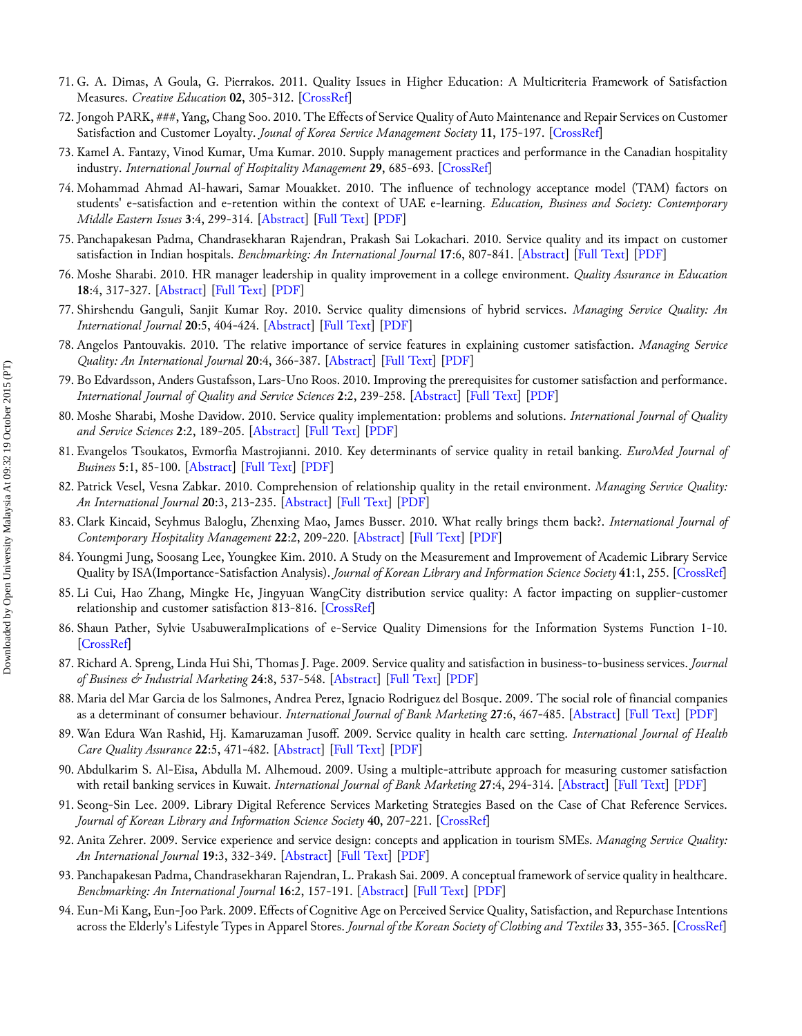- 71. G. A. Dimas, A Goula, G. Pierrakos. 2011. Quality Issues in Higher Education: A Multicriteria Framework of Satisfaction Measures. *Creative Education* **02**, 305-312. [[CrossRef\]](http://dx.doi.org/10.4236/ce.2011.23042)
- 72. Jongoh PARK, ###, Yang, Chang Soo. 2010. The Effects of Service Quality of Auto Maintenance and Repair Services on Customer Satisfaction and Customer Loyalty. *Jounal of Korea Service Management Society* **11**, 175-197. [\[CrossRef](http://dx.doi.org/10.15706/jksms.2010.11.5.008)]
- 73. Kamel A. Fantazy, Vinod Kumar, Uma Kumar. 2010. Supply management practices and performance in the Canadian hospitality industry. *International Journal of Hospitality Management* **29**, 685-693. [[CrossRef\]](http://dx.doi.org/10.1016/j.ijhm.2010.02.001)
- 74. Mohammad Ahmad Al‐hawari, Samar Mouakket. 2010. The influence of technology acceptance model (TAM) factors on students' e‐satisfaction and e‐retention within the context of UAE e‐learning. *Education, Business and Society: Contemporary Middle Eastern Issues* **3**:4, 299-314. [[Abstract\]](http://dx.doi.org/10.1108/17537981011089596) [\[Full Text](http://www.emeraldinsight.com/doi/full/10.1108/17537981011089596)] [\[PDF](http://www.emeraldinsight.com/doi/pdfplus/10.1108/17537981011089596)]
- 75. Panchapakesan Padma, Chandrasekharan Rajendran, Prakash Sai Lokachari. 2010. Service quality and its impact on customer satisfaction in Indian hospitals. *Benchmarking: An International Journal* **17**:6, 807-841. [\[Abstract](http://dx.doi.org/10.1108/14635771011089746)] [\[Full Text](http://www.emeraldinsight.com/doi/full/10.1108/14635771011089746)] [\[PDF\]](http://www.emeraldinsight.com/doi/pdfplus/10.1108/14635771011089746)
- 76. Moshe Sharabi. 2010. HR manager leadership in quality improvement in a college environment. *Quality Assurance in Education* **18**:4, 317-327. [[Abstract\]](http://dx.doi.org/10.1108/09684881011079161) [\[Full Text](http://www.emeraldinsight.com/doi/full/10.1108/09684881011079161)] [\[PDF](http://www.emeraldinsight.com/doi/pdfplus/10.1108/09684881011079161)]
- 77. Shirshendu Ganguli, Sanjit Kumar Roy. 2010. Service quality dimensions of hybrid services. *Managing Service Quality: An International Journal* **20**:5, 404-424. [\[Abstract](http://dx.doi.org/10.1108/09604521011073713)] [\[Full Text](http://www.emeraldinsight.com/doi/full/10.1108/09604521011073713)] [[PDF\]](http://www.emeraldinsight.com/doi/pdfplus/10.1108/09604521011073713)
- 78. Angelos Pantouvakis. 2010. The relative importance of service features in explaining customer satisfaction. *Managing Service Quality: An International Journal* **20**:4, 366-387. [\[Abstract](http://dx.doi.org/10.1108/09604521011057496)] [[Full Text\]](http://www.emeraldinsight.com/doi/full/10.1108/09604521011057496) [[PDF\]](http://www.emeraldinsight.com/doi/pdfplus/10.1108/09604521011057496)
- 79. Bo Edvardsson, Anders Gustafsson, Lars‐Uno Roos. 2010. Improving the prerequisites for customer satisfaction and performance. *International Journal of Quality and Service Sciences* **2**:2, 239-258. [[Abstract\]](http://dx.doi.org/10.1108/17566691011057384) [[Full Text\]](http://www.emeraldinsight.com/doi/full/10.1108/17566691011057384) [[PDF](http://www.emeraldinsight.com/doi/pdfplus/10.1108/17566691011057384)]
- 80. Moshe Sharabi, Moshe Davidow. 2010. Service quality implementation: problems and solutions. *International Journal of Quality and Service Sciences* **2**:2, 189-205. [\[Abstract](http://dx.doi.org/10.1108/17566691011057357)] [[Full Text\]](http://www.emeraldinsight.com/doi/full/10.1108/17566691011057357) [[PDF\]](http://www.emeraldinsight.com/doi/pdfplus/10.1108/17566691011057357)
- 81. Evangelos Tsoukatos, Evmorfia Mastrojianni. 2010. Key determinants of service quality in retail banking. *EuroMed Journal of Business* **5**:1, 85-100. [\[Abstract](http://dx.doi.org/10.1108/14502191011043170)] [\[Full Text](http://www.emeraldinsight.com/doi/full/10.1108/14502191011043170)] [\[PDF\]](http://www.emeraldinsight.com/doi/pdfplus/10.1108/14502191011043170)
- 82. Patrick Vesel, Vesna Zabkar. 2010. Comprehension of relationship quality in the retail environment. *Managing Service Quality: An International Journal* **20**:3, 213-235. [\[Abstract](http://dx.doi.org/10.1108/09604521011041952)] [\[Full Text](http://www.emeraldinsight.com/doi/full/10.1108/09604521011041952)] [\[PDF\]](http://www.emeraldinsight.com/doi/pdfplus/10.1108/09604521011041952)
- 83. Clark Kincaid, Seyhmus Baloglu, Zhenxing Mao, James Busser. 2010. What really brings them back?. *International Journal of Contemporary Hospitality Management* **22**:2, 209-220. [[Abstract\]](http://dx.doi.org/10.1108/09596111011018197) [[Full Text\]](http://www.emeraldinsight.com/doi/full/10.1108/09596111011018197) [\[PDF](http://www.emeraldinsight.com/doi/pdfplus/10.1108/09596111011018197)]
- 84. Youngmi Jung, Soosang Lee, Youngkee Kim. 2010. A Study on the Measurement and Improvement of Academic Library Service Quality by ISA(Importance-Satisfaction Analysis). *Journal of Korean Library and Information Science Society* **41**:1, 255. [[CrossRef\]](http://dx.doi.org/10.16981/kliss.41.1.201003.255)
- 85. Li Cui, Hao Zhang, Mingke He, Jingyuan WangCity distribution service quality: A factor impacting on supplier-customer relationship and customer satisfaction 813-816. [\[CrossRef](http://dx.doi.org/10.1109/ICLSIM.2010.5461073)]
- 86. Shaun Pather, Sylvie UsabuweraImplications of e-Service Quality Dimensions for the Information Systems Function 1-10. [\[CrossRef](http://dx.doi.org/10.1109/HICSS.2010.224)]
- 87. Richard A. Spreng, Linda Hui Shi, Thomas J. Page. 2009. Service quality and satisfaction in business‐to‐business services. *Journal of Business & Industrial Marketing* **24**:8, 537-548. [[Abstract\]](http://dx.doi.org/10.1108/08858620910999411) [[Full Text\]](http://www.emeraldinsight.com/doi/full/10.1108/08858620910999411) [\[PDF](http://www.emeraldinsight.com/doi/pdfplus/10.1108/08858620910999411)]
- 88. Maria del Mar Garcia de los Salmones, Andrea Perez, Ignacio Rodriguez del Bosque. 2009. The social role of financial companies as a determinant of consumer behaviour. *International Journal of Bank Marketing* **27**:6, 467-485. [\[Abstract](http://dx.doi.org/10.1108/02652320910988339)] [\[Full Text](http://www.emeraldinsight.com/doi/full/10.1108/02652320910988339)] [\[PDF\]](http://www.emeraldinsight.com/doi/pdfplus/10.1108/02652320910988339)
- 89. Wan Edura Wan Rashid, Hj. Kamaruzaman Jusoff. 2009. Service quality in health care setting. *International Journal of Health Care Quality Assurance* **22**:5, 471-482. [[Abstract\]](http://dx.doi.org/10.1108/09526860910975580) [[Full Text\]](http://www.emeraldinsight.com/doi/full/10.1108/09526860910975580) [[PDF](http://www.emeraldinsight.com/doi/pdfplus/10.1108/09526860910975580)]
- 90. Abdulkarim S. Al-Eisa, Abdulla M. Alhemoud. 2009. Using a multiple-attribute approach for measuring customer satisfaction with retail banking services in Kuwait. *International Journal of Bank Marketing* **27**:4, 294-314. [[Abstract\]](http://dx.doi.org/10.1108/02652320910968368) [[Full Text\]](http://www.emeraldinsight.com/doi/full/10.1108/02652320910968368) [[PDF](http://www.emeraldinsight.com/doi/pdfplus/10.1108/02652320910968368)]
- 91. Seong-Sin Lee. 2009. Library Digital Reference Services Marketing Strategies Based on the Case of Chat Reference Services. *Journal of Korean Library and Information Science Society* **40**, 207-221. [\[CrossRef](http://dx.doi.org/10.16981/kliss.40.2.200906.207)]
- 92. Anita Zehrer. 2009. Service experience and service design: concepts and application in tourism SMEs. *Managing Service Quality: An International Journal* **19**:3, 332-349. [\[Abstract](http://dx.doi.org/10.1108/09604520910955339)] [\[Full Text](http://www.emeraldinsight.com/doi/full/10.1108/09604520910955339)] [\[PDF\]](http://www.emeraldinsight.com/doi/pdfplus/10.1108/09604520910955339)
- 93. Panchapakesan Padma, Chandrasekharan Rajendran, L. Prakash Sai. 2009. A conceptual framework of service quality in healthcare. *Benchmarking: An International Journal* **16**:2, 157-191. [[Abstract\]](http://dx.doi.org/10.1108/14635770910948213) [[Full Text\]](http://www.emeraldinsight.com/doi/full/10.1108/14635770910948213) [\[PDF](http://www.emeraldinsight.com/doi/pdfplus/10.1108/14635770910948213)]
- 94. Eun-Mi Kang, Eun-Joo Park. 2009. Effects of Cognitive Age on Perceived Service Quality, Satisfaction, and Repurchase Intentions across the Elderly's Lifestyle Types in Apparel Stores. *Journal of the Korean Society of Clothing and Textiles* **33**, 355-365. [[CrossRef\]](http://dx.doi.org/10.5850/JKSCT.2009.33.3.355)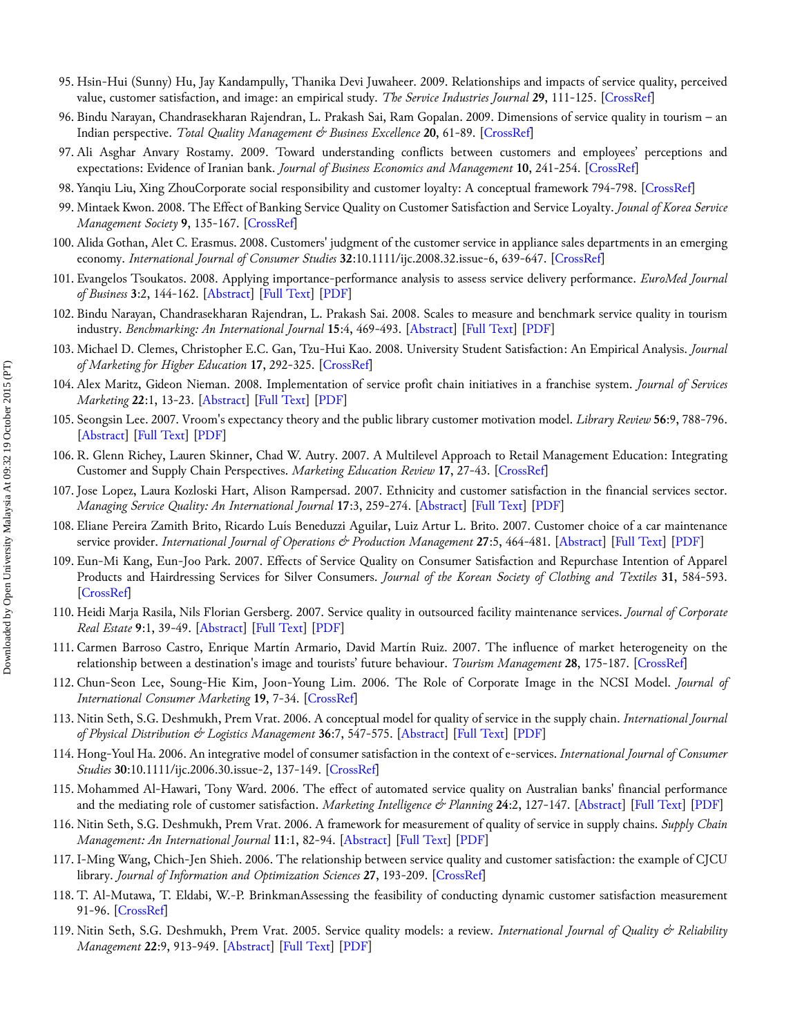- 95. Hsin-Hui (Sunny) Hu, Jay Kandampully, Thanika Devi Juwaheer. 2009. Relationships and impacts of service quality, perceived value, customer satisfaction, and image: an empirical study. *The Service Industries Journal* **29**, 111-125. [[CrossRef\]](http://dx.doi.org/10.1080/02642060802292932)
- 96. Bindu Narayan, Chandrasekharan Rajendran, L. Prakash Sai, Ram Gopalan. 2009. Dimensions of service quality in tourism an Indian perspective. *Total Quality Management & Business Excellence* **20**, 61-89. [\[CrossRef](http://dx.doi.org/10.1080/14783360802614299)]
- 97. Ali Asghar Anvary Rostamy. 2009. Toward understanding conflicts between customers and employees' perceptions and expectations: Evidence of Iranian bank. *Journal of Business Economics and Management* **10**, 241-254. [[CrossRef\]](http://dx.doi.org/10.3846/1611-1699.2009.10.241-254)
- 98. Yanqiu Liu, Xing ZhouCorporate social responsibility and customer loyalty: A conceptual framework 794-798. [[CrossRef\]](http://dx.doi.org/10.1109/ICSSSM.2009.5174989)
- 99. Mintaek Kwon. 2008. The Effect of Banking Service Quality on Customer Satisfaction and Service Loyalty. *Jounal of Korea Service Management Society* **9**, 135-167. [\[CrossRef](http://dx.doi.org/10.15706/jksms.2008.9.4.006)]
- 100. Alida Gothan, Alet C. Erasmus. 2008. Customers' judgment of the customer service in appliance sales departments in an emerging economy. *International Journal of Consumer Studies* **32**:10.1111/ijc.2008.32.issue-6, 639-647. [[CrossRef\]](http://dx.doi.org/10.1111/j.1470-6431.2008.00718.x)
- 101. Evangelos Tsoukatos. 2008. Applying importance‐performance analysis to assess service delivery performance. *EuroMed Journal of Business* **3**:2, 144-162. [\[Abstract](http://dx.doi.org/10.1108/14502190810891209)] [[Full Text\]](http://www.emeraldinsight.com/doi/full/10.1108/14502190810891209) [[PDF\]](http://www.emeraldinsight.com/doi/pdfplus/10.1108/14502190810891209)
- 102. Bindu Narayan, Chandrasekharan Rajendran, L. Prakash Sai. 2008. Scales to measure and benchmark service quality in tourism industry. *Benchmarking: An International Journal* **15**:4, 469-493. [[Abstract\]](http://dx.doi.org/10.1108/14635770810887258) [[Full Text\]](http://www.emeraldinsight.com/doi/full/10.1108/14635770810887258) [[PDF](http://www.emeraldinsight.com/doi/pdfplus/10.1108/14635770810887258)]
- 103. Michael D. Clemes, Christopher E.C. Gan, Tzu-Hui Kao. 2008. University Student Satisfaction: An Empirical Analysis. *Journal of Marketing for Higher Education* **17**, 292-325. [[CrossRef\]](http://dx.doi.org/10.1080/08841240801912831)
- 104. Alex Maritz, Gideon Nieman. 2008. Implementation of service profit chain initiatives in a franchise system. *Journal of Services Marketing* **22**:1, 13-23. [\[Abstract](http://dx.doi.org/10.1108/08876040810851923)] [\[Full Text](http://www.emeraldinsight.com/doi/full/10.1108/08876040810851923)] [\[PDF](http://www.emeraldinsight.com/doi/pdfplus/10.1108/08876040810851923)]
- 105. Seongsin Lee. 2007. Vroom's expectancy theory and the public library customer motivation model. *Library Review* **56**:9, 788-796. [\[Abstract](http://dx.doi.org/10.1108/00242530710831239)] [\[Full Text](http://www.emeraldinsight.com/doi/full/10.1108/00242530710831239)] [[PDF\]](http://www.emeraldinsight.com/doi/pdfplus/10.1108/00242530710831239)
- 106. R. Glenn Richey, Lauren Skinner, Chad W. Autry. 2007. A Multilevel Approach to Retail Management Education: Integrating Customer and Supply Chain Perspectives. *Marketing Education Review* **17**, 27-43. [[CrossRef\]](http://dx.doi.org/10.1080/10528008.2007.11489002)
- 107. Jose Lopez, Laura Kozloski Hart, Alison Rampersad. 2007. Ethnicity and customer satisfaction in the financial services sector. *Managing Service Quality: An International Journal* **17**:3, 259-274. [\[Abstract](http://dx.doi.org/10.1108/09604520710744290)] [\[Full Text](http://www.emeraldinsight.com/doi/full/10.1108/09604520710744290)] [[PDF\]](http://www.emeraldinsight.com/doi/pdfplus/10.1108/09604520710744290)
- 108. Eliane Pereira Zamith Brito, Ricardo Luís Beneduzzi Aguilar, Luiz Artur L. Brito. 2007. Customer choice of a car maintenance service provider. *International Journal of Operations & Production Management* **27**:5, 464-481. [[Abstract\]](http://dx.doi.org/10.1108/01443570710742366) [[Full Text\]](http://www.emeraldinsight.com/doi/full/10.1108/01443570710742366) [[PDF](http://www.emeraldinsight.com/doi/pdfplus/10.1108/01443570710742366)]
- 109. Eun-Mi Kang, Eun-Joo Park. 2007. Effects of Service Quality on Consumer Satisfaction and Repurchase Intention of Apparel Products and Hairdressing Services for Silver Consumers. *Journal of the Korean Society of Clothing and Textiles* **31**, 584-593. [\[CrossRef](http://dx.doi.org/10.5850/JKSCT.2007.31.4.584)]
- 110. Heidi Marja Rasila, Nils Florian Gersberg. 2007. Service quality in outsourced facility maintenance services. *Journal of Corporate Real Estate* **9**:1, 39-49. [\[Abstract](http://dx.doi.org/10.1108/14630010710742473)] [\[Full Text](http://www.emeraldinsight.com/doi/full/10.1108/14630010710742473)] [\[PDF\]](http://www.emeraldinsight.com/doi/pdfplus/10.1108/14630010710742473)
- 111. Carmen Barroso Castro, Enrique Martín Armario, David Martín Ruiz. 2007. The influence of market heterogeneity on the relationship between a destination's image and tourists' future behaviour. *Tourism Management* **28**, 175-187. [[CrossRef\]](http://dx.doi.org/10.1016/j.tourman.2005.11.013)
- 112. Chun-Seon Lee, Soung-Hie Kim, Joon-Young Lim. 2006. The Role of Corporate Image in the NCSI Model. *Journal of International Consumer Marketing* **19**, 7-34. [[CrossRef](http://dx.doi.org/10.1300/J046v19n01_02)]
- 113. Nitin Seth, S.G. Deshmukh, Prem Vrat. 2006. A conceptual model for quality of service in the supply chain. *International Journal of Physical Distribution & Logistics Management* **36**:7, 547-575. [\[Abstract](http://dx.doi.org/10.1108/09600030610684971)] [\[Full Text](http://www.emeraldinsight.com/doi/full/10.1108/09600030610684971)] [[PDF\]](http://www.emeraldinsight.com/doi/pdfplus/10.1108/09600030610684971)
- 114. Hong-Youl Ha. 2006. An integrative model of consumer satisfaction in the context of e-services. *International Journal of Consumer Studies* **30**:10.1111/ijc.2006.30.issue-2, 137-149. [[CrossRef\]](http://dx.doi.org/10.1111/j.1470-6431.2005.00458.x)
- 115. Mohammed Al‐Hawari, Tony Ward. 2006. The effect of automated service quality on Australian banks' financial performance and the mediating role of customer satisfaction. *Marketing Intelligence & Planning* **24**:2, 127-147. [[Abstract\]](http://dx.doi.org/10.1108/02634500610653991) [[Full Text\]](http://www.emeraldinsight.com/doi/full/10.1108/02634500610653991) [\[PDF](http://www.emeraldinsight.com/doi/pdfplus/10.1108/02634500610653991)]
- 116. Nitin Seth, S.G. Deshmukh, Prem Vrat. 2006. A framework for measurement of quality of service in supply chains. *Supply Chain Management: An International Journal* **11**:1, 82-94. [\[Abstract](http://dx.doi.org/10.1108/13598540610642501)] [\[Full Text](http://www.emeraldinsight.com/doi/full/10.1108/13598540610642501)] [\[PDF](http://www.emeraldinsight.com/doi/pdfplus/10.1108/13598540610642501)]
- 117. I-Ming Wang, Chich-Jen Shieh. 2006. The relationship between service quality and customer satisfaction: the example of CJCU library. *Journal of Information and Optimization Sciences* **27**, 193-209. [[CrossRef\]](http://dx.doi.org/10.1080/02522667.2006.10699686)
- 118. T. Al-Mutawa, T. Eldabi, W.-P. BrinkmanAssessing the feasibility of conducting dynamic customer satisfaction measurement 91-96. [\[CrossRef](http://dx.doi.org/10.1109/ITI.2006.1708458)]
- 119. Nitin Seth, S.G. Deshmukh, Prem Vrat. 2005. Service quality models: a review. *International Journal of Quality & Reliability Management* **22**:9, 913-949. [\[Abstract](http://dx.doi.org/10.1108/02656710510625211)] [\[Full Text](http://www.emeraldinsight.com/doi/full/10.1108/02656710510625211)] [\[PDF\]](http://www.emeraldinsight.com/doi/pdfplus/10.1108/02656710510625211)